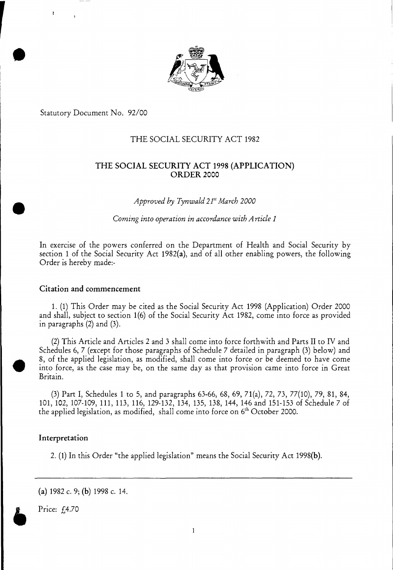

Statutory Document No. 92/00

# THE SOCIAL SECURITY ACT 1982

# THE SOCIAL SECURITY ACT 1998 (APPLICATION) ORDER 2000

*Approved by Tynwald 21" March 2000* 

*Coming into operation in accordance with Article 1* 

In exercise of the powers conferred on the Department of Health and Social Security by section 1 of the Social Security Act 1982(a), and of all other enabling powers, the following Order is hereby made:-

#### Citation and commencement

1. (1) This Order may be cited as the Social Security Act 1998 (Application) Order 2000 and shall, subject to section 1(6) of the Social Security Act 1982, come into force as provided in paragraphs (2) and (3).

(2)This Article and Articles 2 and 3 shall come into force forthwith and Parts II to IV and Schedules 6, 7 (except for those paragraphs of Schedule 7 detailed in paragraph (3) below) and 8, of the applied legislation, as modified, shall come into force or be deemed to have come into force, as the case may be, on the same day as that provision came into force in Great Britain.

(3) Part I, Schedules 1 to 5, and paragraphs 63-66, 68, 69, 71(a), 72, 73, 77(10), 79, 81, 84, 101, 102, 107-109, 111, 113, 116, 129-132, 134, 135, 138, 144, 146 and 151-153 of Schedule 7 of the applied legislation, as modified, shall come into force on  $6<sup>th</sup>$  October 2000.

# Interpretation

2. (1) In this Order "the applied legislation" means the Social Security Act 1998(b).

Price: f.4.70

<sup>(</sup>a) 1982 c. 9; (b) 1998 c. 14.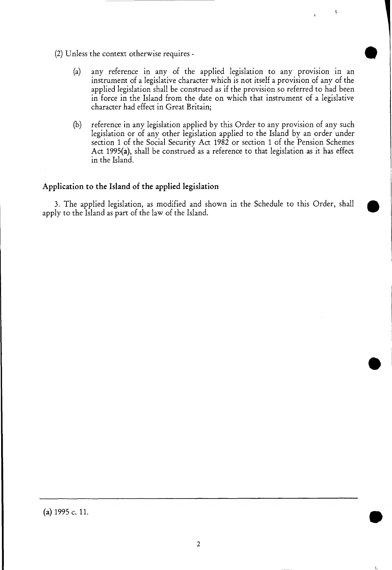- (2) Unless the context otherwise requires
	- (a) any reference in any of the applied legislation to any provision in an instrument of a legislative character which is not itself a provision of any of the applied legislation shall be construed as if the provision so referred to had been in force in the Island from the date on which that instrument of a legislative character had effect in Great Britain;
	- (b) reference in any legislation applied by this Order to any provision of any such legislation or of any other legislation applied to the Island by an order under section 1 of the Social Security Act 1982 or section 1 of the Pension Schemes Act 1995(a), shall be construed as a reference to that legislation as it has effect in the Island.

#### **Application to the Island of the applied legislation**

3. The applied legislation, as modified and shown in the Schedule to this Order, shall apply to the Island as part of the law of the Island.

(a) 1995 c. 11.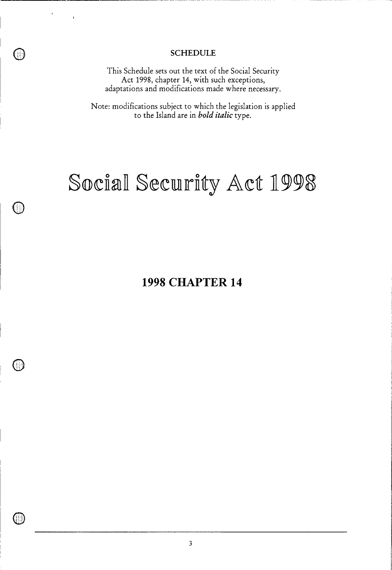# **SCHEDULE**

This Schedule sets out the text of the Social Security Act 1998, chapter 14, with such exceptions, adaptations and modifications made where necessary.

Note: modifications subject to which the legislation is applied to the Island are in *bold italic* type.

# Social Security Act 1998

(11

**1998 CHAPTER 14**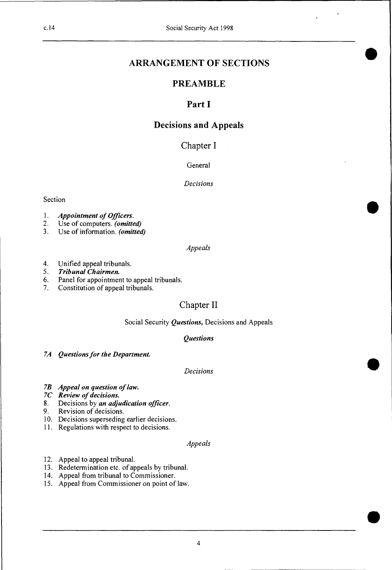# **ARRANGEMENT OF SECTIONS**

# **PREAMBLE**

# **Part I**

# **Decisions and Appeals**

# Chapter I

# General

#### *Decisions*

#### Section

- *1. Appointment of Officers.*
- 2. Use of computers. *(omitted)*
- 3. Use of information. *(omitted)*

# *Appeals*

- 4. Unified appeal tribunals.<br>5. Tribunal Chairmen.
- 5. *Tribunal Chairmen.*
- 6. Panel for appointment to appeal tribunals.
- 7. Constitution of appeal tribunals.

# Chapter II

# Social Security *Questions,* Decisions and Appeals

# *Questions*

*7A Questions for the Department.* 

# *Decisions* •

- *7B Appeal on question of law.*
- *7C Review of decisions.*
- 8. Decisions by *an adjudication officer.*
- Revision of decisions.
- 10. Decisions superseding earlier decisions.
- 11. Regulations with respect to decisions.

#### *Appeals*

- 12. Appeal to appeal tribunal.
- 13. Redetermination etc. of appeals by tribunal.
- 14. Appeal from tribunal to Commissioner.
- 15. Appeal from Commissioner on point of law.

•

•

•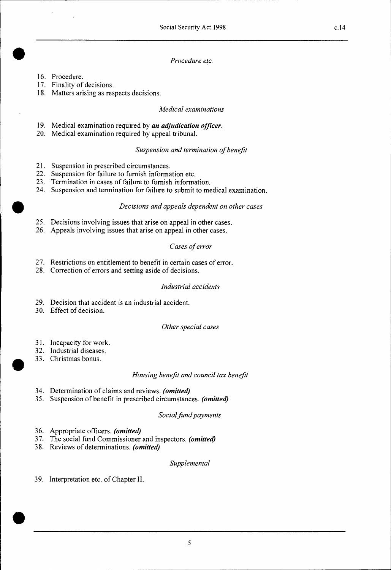# • *Procedure etc.*

- 16. Procedure.
- 17. Finality of decisions.
- 18. Matters arising as respects decisions.

#### *Medical examinations*

- 19. Medical examination required by *an adjudication officer.*
- 20. Medical examination required by appeal tribunal.

#### *Suspension and termination of benefit*

- 21. Suspension in prescribed circumstances.
- 22. Suspension for failure to furnish information etc.
- 23. Termination in cases of failure to furnish information.
- 24. Suspension and termination for failure to submit to medical examination.

#### **III** *Decisions and appeals dependent on other cases*

- 25. Decisions involving issues that arise on appeal in other cases.
- 26. Appeals involving issues that arise on appeal in other cases.

#### *Cases of error*

- 27. Restrictions on entitlement to benefit in certain cases of error.
- 28. Correction of errors and setting aside of decisions.

#### *Industrial accidents*

- 29. Decision that accident is an industrial accident.
- 30. Effect of decision.

#### *Other special cases*

- 31. Incapacity for work.
- 32. Industrial diseases.
- 33. Christmas bonus.

#### *Housing benefit and council tax benefit*

- 34. Determination of claims and reviews. *(omitted)*
- 35. Suspension of benefit in prescribed circumstances. *(omitted)*

#### *Social fund payments*

- 36. Appropriate officers. *(omitted)*
- 37. The social fund Commissioner and inspectors. *(omitted)*
- 38. Reviews of determinations. *(omitted)*

#### *Supplemental*

39. Interpretation etc. of Chapter II.

 $\bullet$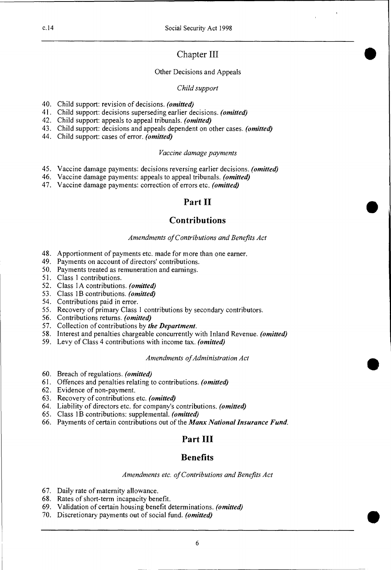# Chapter III •

#### Other Decisions and Appeals

#### *Child support*

- 40. Child support: revision of decisions. *(omitted)*
- 41. Child support: decisions superseding earlier decisions. *(omitted)*
- 42. Child support: appeals to appeal tribunals. *(omitted)*
- 43. Child support: decisions and appeals dependent on other cases. *(omitted)*
- 44. Child support: cases of error. *(omitted)*

#### *Vaccine damage payments*

- 45. Vaccine damage payments: decisions reversing earlier decisions. *(omitted)*
- 46. Vaccine damage payments: appeals to appeal tribunals. *(omitted)*
- 47. Vaccine damage payments: correction of errors etc. *(omitted)*

# **Part II**

•

•

•

# **Contributions**

#### *Amendments of Contributions and Benefits Act*

- 48. Apportionment of payments etc. made for more than one earner.
- 49. Payments on account of directors' contributions.
- 50. Payments treated as remuneration and earnings.
- 51. Class 1 contributions.
- 52. Class IA contributions. *(omitted)*
- 53. Class 1B contributions. *(omitted)*
- 54. Contributions paid in error.
- 55. Recovery of primary Class 1 contributions by secondary contributors.
- 56. Contributions returns. *(omitted)*
- 57. Collection of contributions by *the Department.*
- 58. Interest and penalties chargeable concurrently with Inland Revenue. *(omitted)*
- 59. Levy of Class 4 contributions with income tax. *(omitted)*

#### *Amendments of Administration Act*

- 60. Breach of regulations. *(omitted)*
- 61. Offences and penalties relating to contributions. *(omitted)*
- 62. Evidence of non-payment.
- 63. Recovery of contributions etc. *(omitted)*
- 64. Liability of directors etc. for company's contributions. *(omitted)*
- 65. Class 1B contributions: supplemental. *(omitted)*
- 66. Payments of certain contributions out of the *Manx National Insurance Fund.*

# **Part III**

# **Benefits**

*Amendments etc. of Contributions and Benefits Act* 

6

- 67. Daily rate of maternity allowance.
- 68. Rates of short-term incapacity benefit.
- 69. Validation of certain housing benefit determinations. *(omitted)*
- 70. Discretionary payments out of social fund. *(omitted)*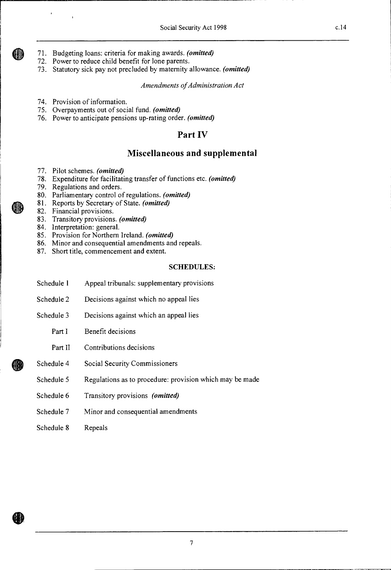- 71. Budgeting loans: criteria for making awards. *(omitted)*
- 72. Power to reduce child benefit for lone parents.
- 73. Statutory sick pay not precluded by maternity allowance. *(omitted)*

*Amendments of Administration Act* 

- 74. Provision of information.
- 75. Overpayments out of social fund. *(omitted)*
- 76. Power to anticipate pensions up-rating order. *(omitted)*

# **Part IV**

# **Miscellaneous and supplemental**

- 77. Pilot schemes. *(omitted)*
- 78. Expenditure for facilitating transfer of functions etc. *(omitted)*
- 79. Regulations and orders.
- 80. Parliamentary control of regulations. *(omitted)*
- 81. Reports by Secretary of State. *(omitted)*
- 82. Financial provisions.
- 83. Transitory provisions. *(omitted)*
- 84. Interpretation: general.
- 85. Provision for Northern Ireland. *(omitted)*
- 86. Minor and consequential amendments and repeals.
- 87. Short title, commencement and extent.

#### SCHEDULES:

- Schedule 1 Appeal tribunals: supplementary provisions
- Schedule 2 Decisions against which no appeal lies
- Schedule 3 Decisions against which an appeal lies
	- Part I Benefit decisions
	- Part II Contributions decisions
- Schedule 4 Social Security Commissioners
- Schedule 5 Regulations as to procedure: provision which may be made
- Schedule 6 Transitory provisions *(omitted)*
- Schedule 7 Minor and consequential amendments
- Schedule 8 Repeals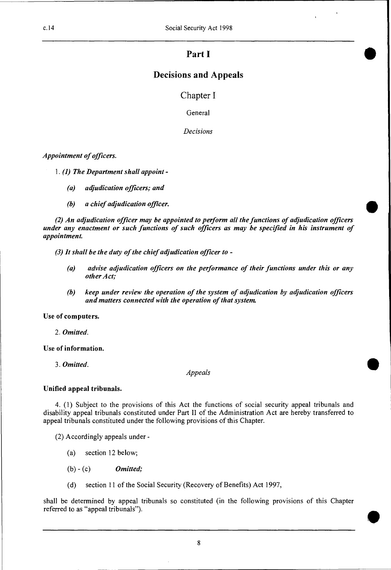c.14 Social Security Act 1998

# **Part I**

•

•

# **Decisions and Appeals**

Chapter I

**General** 

*Decisions* 

*Appointment of officers.* 

*1. (1) The Department shall appoint -* 

- *(a) adjudication officers; and*
- *(b) a chief adjudication officer.*

*(2) An adjudication officer may be appointed to perform all the functions of adjudication officers under any enactment or such functions of such officers as may be specified in his instrument of appointment.* 

- *(3)It shall be the duty of the chief adjudication officer to* 
	- *(a) advise adjudication officers on the performance of their functions under this or any other Act;*
	- *(b) keep under review the operation of the system of adjudication by adjudication officers and matters connected with the operation of that system.*

#### **Use of computers.**

2. *Omitted.* 

**Use of information.** 

3. *Omitted.* 

*Appeals* 

#### **Unified appeal tribunals.**

4. (1) Subject to the provisions of this Act the functions of social security appeal tribunals and disability appeal tribunals constituted under Part II of the Administration Act are hereby transferred to appeal tribunals constituted under the following provisions of this Chapter.

(2) Accordingly appeals under -

- (a) section 12 below;
- (b) (c) *Omitted;*
- (d) section 11 of the Social Security (Recovery of Benefits) Act 1997,

shall be determined by appeal tribunals so constituted (in the following provisions of this Chapter referred to as "appeal tribunals").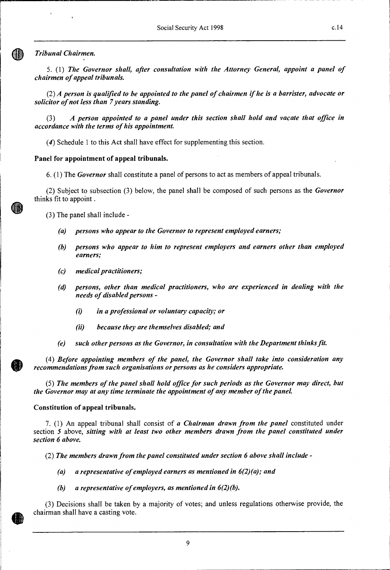#### **Tribunal Chairmen.**

5. (1) *The Governor shall, after consultation with the Attorney General, appoint a panel of chairmen of appeal tribunals.* 

*(2) A person is qualified to be appointed to the panel of chairmen if he is a barrister, advocate or solicitor of not less than 7 years standing.* 

*(3) A person appointed to a panel under this section shall hold and vacate that office in accordance with the terms of his appointment.* 

(4) Schedule 1 to this Act shall have effect for supplementing this section.

#### **Panel for appointment of appeal tribunals.**

6. (1) The *Governor* shall constitute a panel of persons to act as members of appeal tribunals.

(2) Subject to subsection (3) below, the panel shall be composed of such persons as the *Governor*  thinks fit to appoint .

(3) The panel shall include *-* 

- *(a) persons who appear to the Governor to represent employed earners;*
- *(b) persons who appear to him to represent employers and earners other than employed earners;*
- *(c) medical practitioners;*
- *(d) persons, other than medical practitioners, who are experienced in dealing with the needs of disabled persons -* 
	- *(i in a professional or voluntary capacity; or*
	- *(ii) because they are themselves disabled; and*
- *(e) such other persons as the Governor, in consultation with the Department thinks fit.*

(4) *Before appointing members of the panel, the Governor shall take into consideration any recommendations from such organisations or persons as he considers appropriate.* 

(5) *The members of the panel shall hold office for such periods as the Governor may direct, but the Governor may at any time terminate the appointment of any member of the panel.* 

#### **Constitution of appeal tribunals.**

7. (1) An appeal tribunal shall consist of *a Chairman drawn from the panel* constituted under section *5* above, *sitting with at least two other members drawn from the panel constituted under section 6 above.* 

(2) *The members drawn from the panel constituted under section 6 above shall include -* 

- *(a) a representative of employed earners as mentioned in 6(2)(a); and*
- *(b) a representative of employers, as mentioned in 6(2)(b).*

(3) Decisions shall be taken by a majority of votes; and unless regulations otherwise provide, the chairman shall have a casting vote.



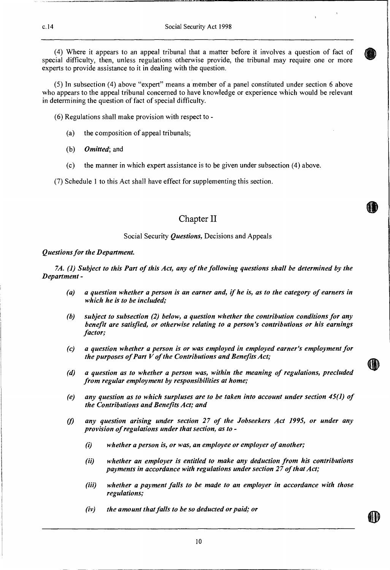(4) Where it appears to an appeal tribunal that a matter before it involves a question of fact of special difficulty, then, unless regulations otherwise provide, the tribunal may require one or more experts to provide assistance to it in dealing with the question.

(5) In subsection (4) above "expert" means a member of a panel constituted under section 6 above who appears to the appeal tribunal concerned to have knowledge or experience which would be relevant in determining the question of fact of special difficulty.

(6) Regulations shall make provision with respect to -

- (a) the composition of appeal tribunals;
- *(b) Omitted;* and
- (c) the manner in which expert assistance is to be given under subsection (4) above.

(7) Schedule 1 to this Act shall have effect for supplementing this section.

# Chapter II

#### Social Security *Questions,* Decisions and Appeals

#### *Questions for the Department.*

*7A. (1) Subject to this Part of this Act, any of the following questions shall be determined by the Department -* 

- *(a) a question whether a person is an earner and, if he is, as to the category of earners in which he is to be included;*
- *(b) subject to subsection (2) below, a question whether the contribution conditions for any benefit are satisfied, or otherwise relating to a person's contributions or his earnings factor;*
- *(c) a question whether a person is or was employed in employed earner's employment for the purposes of Part V of the Contributions and Benefits Act;*
- *(d) a question as to whether a person was, within the meaning of regulations, precluded from regular employment by responsibilities at home;*
- *(e) any question as to which surpluses are to be taken into account under section 45(1) of the Contributions and Benefits Act; and*
- *(f) any question arising under section 27 of the Jobseekers Act 1995, or under any provision of regulations under that section, as to -* 
	- *(i) whether a person is, or was, an employee or employer of another;*
	- *(ii) whether an employer is entitled to make any deduction from his contributions payments in accordance with regulations under section 27 of that Act;*
	- *(iii) whether a payment falls to be made to an employer in accordance with those regulations;*
	- *(iv) the amount that falls to be so deducted or paid; or*

 $\textbf{\textcircled{h}}$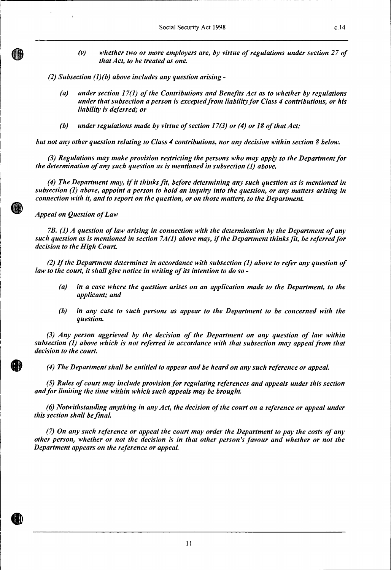*(v) whether two or more employers are, by virtue of regulations under section 27 of that Act, to be treated as one.* 

*(2) Subsection (1)(b) above includes any question arising -* 

- *(a) under section 17(1) of the Contributions and Benefits Act as to whether by regulations under that subsection a person is excepted from liability for Class 4 contributions, or his liability is deferred; or*
- *(b) under regulations made by virtue of section 17(3) or (4) or 18 of that Act;*

*but not any other question relating to Class 4 contributions, nor any decision within section 8 below.* 

*(3) Regulations may make provision restricting the persons who may apply to the Department for the determination of any such question as is mentioned in subsection (1) above.* 

*(4) The Department may, if it thinks fit, before determining any such question as is mentioned in subsection (1) above, appoint a person to hold an inquiry into the question, or any matters arising in connection with it, and to report on the question, or on those matters, to the Department* 

*Appeal on Question of Law* 

*7B. (1) A question of law arising in connection with the determination by the Department of any such question as is mentioned in section 7A(1) above may, if the Department thinks fit, be referred for decision to the High Court* 

*(2) If the Department determines in accordance with subsection (1) above to refer any question of law to the court, it shall give notice in writing of its intention to do so -* 

- *(a) in a case where the question arises on an application made to the Department, to the applicant; and*
- *(b) in any case to such persons as appear to the Department to be concerned with the question.*

*(3) Any person aggrieved by the decision of the Department on any question of law within subsection (1) above which is not referred in accordance with that subsection may appeal from that decision to the court.* 

*(4) The Department shall be entitled to appear and be heard on any such reference or appeal.* 

*(5) Rules of court may include provision for regulating references and appeals under this section and for limiting the time within which such appeals may be brought.* 

*(6) Notwithstanding anything in any Act, the decision of the court on a reference or appeal under this section shall be final.* 

*(7) On any such reference or appeal the court may order the Department to pay the costs of any other person, whether or not the decision is in that other person's favour and whether or not the Department appears on the reference or appeal.*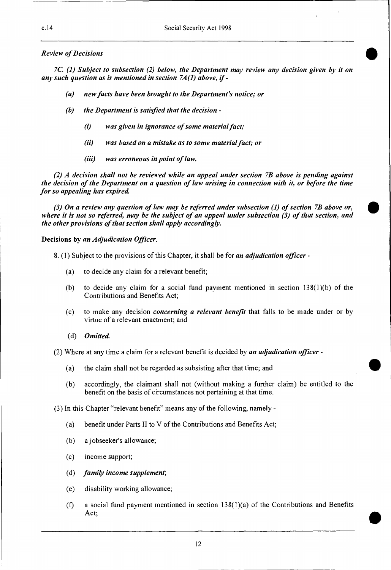#### *Review of Decisions*

*7C. (1) Subject to subsection (2) below, the Department may review any decision given by it on any such question as is mentioned in section 7A(1) above, if -* 

- *(a) new facts have been brought to the Department's notice; or*
- *(b) the Department is satisfied that the decision* 
	- *(i) was given in ignorance of some material fact;*
	- *(ii) was based on a mistake as to some material fact; or*
	- *(iii) was erroneous in point of law.*

*(2) A decision shall not be reviewed while an appeal under section 7B above is pending against the decision of the Department on a question of law arising in connection with it, or before the time for so appealing has expired.* 

*(3) On a review any question of law may be referred under subsection (1) of section 7B above or, where it is not so referred, may be the subject of an appeal under subsection (3) of that section, and the other provisions of that section shall apply accordingly.* 

#### **Decisions by** *an Adjudication Officer.*

8. (1) Subject to the provisions of this Chapter, it shall be for *an adjudication officer* -

- (a) to decide any claim for a relevant benefit;
- (b) to decide any claim for a social fund payment mentioned in section  $138(1)(b)$  of the Contributions and Benefits Act;
- (c) to make any decision *concerning a relevant benefit* that falls to be made under or by virtue of a relevant enactment; and
- *(d) Omitted.*

(2) Where at any time a claim for a relevant benefit is decided by *an adjudication officer* -

- (a) the claim shall not be regarded as subsisting after that time; and
- (b) accordingly, the claimant shall not (without making a further claim) be entitled to the benefit on the basis of circumstances not pertaining at that time.

(3) In this Chapter "relevant benefit" means any of the following, namely -

- (a) benefit under Parts II to V of the Contributions and Benefits Act;
- (b) a jobseeker's allowance;
- (c) income support;
- *(d) family income supplement;*
- (e) disability working allowance;
- (f) a social fund payment mentioned in section  $138(1)(a)$  of the Contributions and Benefits Act;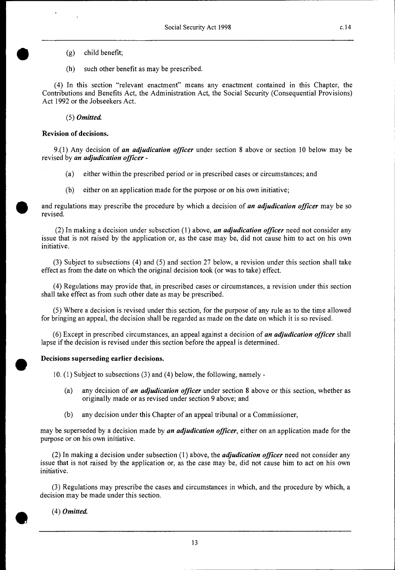$(g)$  child benefit;

(h) such other benefit as may be prescribed.

(4) In this section "relevant enactment" means any enactment contained in this Chapter, the Contributions and Benefits Act, the Administration Act, the Social Security (Consequential Provisions) Act 1992 or the Jobseekers Act.

*(5) Omitted* 

#### **Revision of decisions.**

9.(1) Any decision of *an adjudication officer* under section 8 above or section 10 below may be revised by *an adjudication officer -* 

- (a) either within the prescribed period or in prescribed cases or circumstances; and
- (b) either on an application made for the purpose or on his own initiative;

and regulations may prescribe the procedure by which a decision of *an adjudication officer* may be so revised.

(2) In making a decision under subsection (1) above, *an adjudication officer* need not consider any issue that is not raised by the application or, as the case may be, did not cause him to act on his own initiative.

(3) Subject to subsections (4) and (5) and section 27 below, a revision under this section shall take effect as from the date on which the original decision took (or was to take) effect.

(4) Regulations may provide that, in prescribed cases or circumstances, a revision under this section shall take effect as from such other date as may be prescribed.

(5) Where a decision is revised under this section, for the purpose of any rule as to the time allowed for bringing an appeal, the decision shall be regarded as made on the date on which it is so revised.

(6) Except in prescribed circumstances, an appeal against a decision of *an adjudication officer* shall lapse if the decision is revised under this section before the appeal is determined.

#### **Decisions superseding earlier decisions.**

10. (1) Subject to subsections (3) and (4) below, the following, namely -

- (a) any decision of *an adjudication officer* under section 8 above or this section, whether as originally made or as revised under section 9 above; and
- (b) any decision under this Chapter of an appeal tribunal or a Commissioner,

may be superseded by a decision made by *an adjudication officer,* either on an application made for the purpose or on his own initiative.

(2) In making a decision under subsection (1) above, the *adjudication officer* need not consider any issue that is not raised by the application or, as the case may be, did not cause him to act on his own initiative.

(3) Regulations may prescribe the cases and circumstances in which, and the procedure by which, a decision may be made under this section.

*(4) Omitted*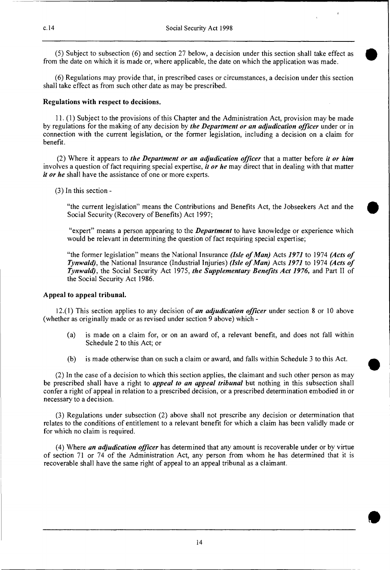(5) Subject to subsection (6) and section 27 below, a decision under this section shall take effect as from the date on which it is made or, where applicable, the date on which the application was made.

(6) Regulations may provide that, in prescribed cases or circumstances, a decision under this section shall take effect as from such other date as may be prescribed.

#### **Regulations with respect to decisions.**

11. (1) Subject to the provisions of this Chapter and the Administration Act, provision may be made by regulations for the making of any decision by *the Department or an adjudication officer* under or in connection with the current legislation, or the former legislation, including a decision on a claim for benefit.

(2) Where it appears to *the Department or an adjudication officer* that a matter before *it or him*  involves a question of fact requiring special expertise, *it or he* may direct that in dealing with that matter *it or he* shall have the assistance of one or more experts.

(3) In this section -

"the current legislation" means the Contributions and Benefits Act, the Jobseekers Act and the Social Security (Recovery of Benefits) Act 1997;

"expert" means a person appearing to the *Department* to have knowledge or experience which would be relevant in determining the question of fact requiring special expertise;

"the former legislation" means the National Insurance *(Isle of Man)* Acts *1971* to 1974 *(Acts of Tynwald),* the National Insurance (Industrial Injuries) *(Isle of Man)* Acts *1971* to 1974 *(Acts of Tynwald),* the Social Security Act 1975, *the Supplementary Benefits Act 1976,* and Part II of the Social Security Act 1986.

#### **Appeal to appeal tribunal**

12.(1) This section applies to any decision of *an adjudication officer* under section 8 or 10 above (whether as originally made or as revised under section 9 above) which -

- (a) is made on a claim for, or on an award of, a relevant benefit, and does not fall within Schedule 2 to this Act; or
- (b) is made otherwise than on such a claim or award, and falls within Schedule 3 to this Act.

(2) In the case of a decision to which this section applies, the claimant and such other person as may be prescribed shall have a right to *appeal to an appeal tribunal* but nothing in this subsection shall confer a right of appeal in relation to a prescribed decision, or a prescribed determination embodied in or necessary to a decision.

(3) Regulations under subsection (2) above shall not prescribe any decision or determination that relates to the conditions of entitlement to a relevant benefit for which a claim has been validly made or for which no claim is required.

(4) Where *an adjudication officer* has determined that any amount is recoverable under or by virtue of section 71 or 74 of the Administration Act, any person from whom he has determined that it is recoverable shall have the same right of appeal to an appeal tribunal as a claimant.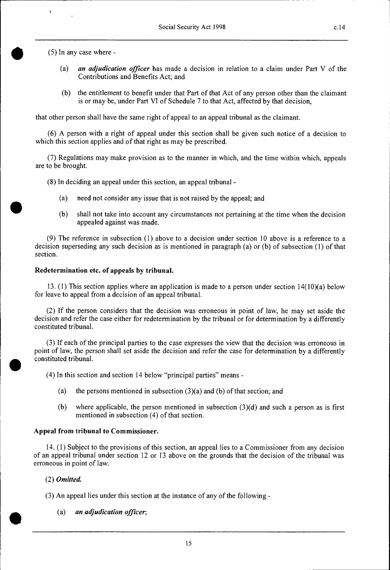(5) In any case where -

 $\mathbf{y}$ 

- *(a) an adjudication officer* has made a decision in relation to a claim under Part V of the Contributions and Benefits Act; and
- (b) the entitlement to benefit under that Part of that Act of any person other than the claimant is or may be, under Part VI of Schedule 7 to that Act, affected by that decision,

that other person shall have the same right of appeal to an appeal tribunal as the claimant.

(6) A person with a right of appeal under this section shall be given such notice of a decision to which this section applies and of that right as may be prescribed.

(7) Regulations may make provision as to the manner in which, and the time within which, appeals are to be brought.

- (8) In deciding an appeal under this section, an appeal tribunal
	- (a) need not consider any issue that is not raised by the appeal; and
	- (b) shall not take into account any circumstances not pertaining at the time when the decision appealed against was made.

(9) The reference in subsection (1) above to a decision under section 10 above is a reference to a decision superseding any such decision as is mentioned in paragraph (a) or (b) of subsection (1) of that section.

#### **Redetermination etc. of appeals by tribunal.**

13. (1) This section applies where an application is made to a person under section 14(10)(a) below for leave to appeal from a decision of an appeal tribunal.

(2) If the person considers that the decision was erroneous in point of law, he may set aside the decision and refer the case either for redetermination by the tribunal or for determination by a differently constituted tribunal.

(3) If each of the principal parties to the case expresses the view that the decision was erroneous in point of law, the person shall set aside the decision and refer the case for determination by a differently constituted tribunal.

(4) In this section and section 14 below "principal parties" means -

- (a) the persons mentioned in subsection  $(3)(a)$  and (b) of that section; and
- (b) where applicable, the person mentioned in subsection (3)(d) and such a person as is first mentioned in subsection (4) of that section.

#### **Appeal from tribunal to Commissioner.**

14. (1) Subject to the provisions of this section, an appeal lies to a Commissioner from any decision of an appeal tribunal under section 12 or 13 above on the grounds that the decision of the tribunal was erroneous in point of law.

#### *(2) Omitted*

(3) An appeal lies under this section at the instance of any of the following -

(a) *an adjudication officer;*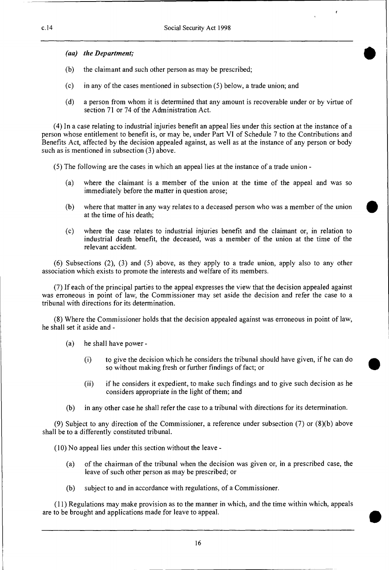*(aa) the Department;* 

- (b) the claimant and such other person as may be prescribed;
- (c) in any of the cases mentioned in subsection (5) below, a trade union; and
- (d) a person from whom it is determined that any amount is recoverable under or by virtue of section 71 or 74 of the Administration Act.

(4) In a case relating to industrial injuries benefit an appeal lies under this section at the instance of a person whose entitlement to benefit is, or may be, under Part VI of Schedule 7 to the Contributions and Benefits Act, affected by the decision appealed against, as well as at the instance of any person or body such as is mentioned in subsection (3) above.

(5) The following are the cases in which an appeal lies at the instance of a trade union -

- (a) where the claimant is a member of the union at the time of the appeal and was so immediately before the matter in question arose;
- (b) where that matter in any way relates to a deceased person who was a member of the union at the time of his death;
- (c) where the case relates to industrial injuries benefit and the claimant or, in relation to industrial death benefit, the deceased, was a member of the union at the time of the relevant accident.

(6) Subsections (2), (3) and (5) above, as they apply to a trade union, apply also to any other association which exists to promote the interests and welfare of its members.

(7) If each of the principal parties to the appeal expresses the view that the decision appealed against was erroneous in point of law, the Commissioner may set aside the decision and refer the case to a tribunal with directions for its determination.

(8) Where the Commissioner holds that the decision appealed against was erroneous in point of law, he shall set it aside and -

- (a) he shall have power
	- (i) to give the decision which he considers the tribunal should have given, if he can do so without making fresh or further findings of fact; or
	- (ii) if he considers it expedient, to make such findings and to give such decision as he considers appropriate in the light of them; and
- (b) in any other case he shall refer the case to a tribunal with directions for its determination.

(9) Subject to any direction of the Commissioner, a reference under subsection (7) or (8)(b) above shall be to a differently constituted tribunal.

(10) No appeal lies under this section without the leave -

- (a) of the chairman of the tribunal when the decision was given or, in a prescribed case, the leave of such other person as may be prescribed; or
- (b) subject to and in accordance with regulations, of a Commissioner.

(11) Regulations may make provision as to the manner in which, and the time within which, appeals are to be brought and applications made for leave to appeal.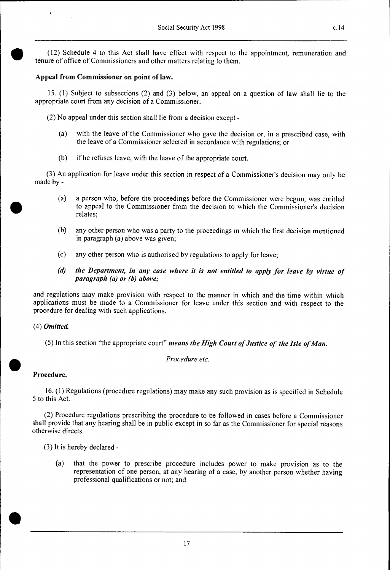(12) Schedule 4 to this Act shall have effect with respect to the appointment, remuneration and tenure of office of Commissioners and other matters relating to them.

# **Appeal from Commissioner on point of law.**

15. (1) Subject to subsections (2) and (3) below, an appeal on a question of law shall lie to the appropriate court from any decision of a Commissioner.

(2) No appeal under this section shall lie from a decision except -

- (a) with the leave of the Commissioner who gave the decision or, in a prescribed case, with the leave of a Commissioner selected in accordance with regulations; or
- (b) if he refuses leave, with the leave of the appropriate court.

(3) An application for leave under this section in respect of a Commissioner's decision may only be made by -

- (a) a person who, before the proceedings before the Commissioner were begun, was entitled to appeal to the Commissioner from the decision to which the Commissioner's decision relates;
- (b) any other person who was a party to the proceedings in which the first decision mentioned in paragraph (a) above was given;
- (c) any other person who is authorised by regulations to apply for leave;
- *(d) the Department, in any case where it is not entitled to apply for leave by virtue of paragraph (a) or (b) above;*

and regulations may make provision with respect to the manner in which and the time within which applications must be made to a Commissioner for leave under this section and with respect to the procedure for dealing with such applications.

# (4) *Omitted*

(5) In this section "the appropriate court" *means the High Court of Justice of the Isle of Man.* 

*Procedure etc.* 

# **Procedure.**

16. (I) Regulations (procedure regulations) may make any such provision as is specified in Schedule 5 to this Act.

(2) Procedure regulations prescribing the procedure to be followed in cases before a Commissioner shall provide that any hearing shall be in public except in so far as the Commissioner for special reasons otherwise directs.

(3) It is hereby declared -

(a) that the power to prescribe procedure includes power to make provision as to the representation of one person, at any hearing of a case, by another person whether having professional qualifications or not; and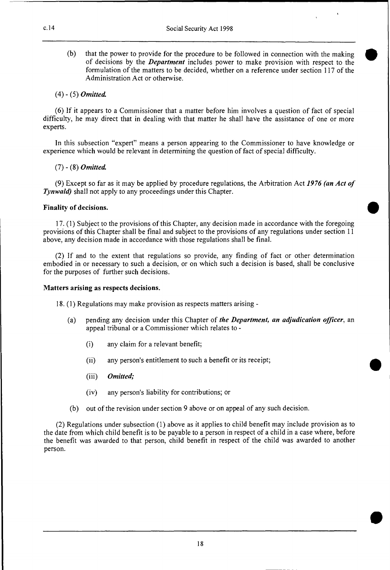(b) that the power to provide for the procedure to be followed in connection with the making of decisions by the *Department* includes power to make provision with respect to the formulation of the matters to be decided, whether on a reference under section 117 of the Administration Act or otherwise.

#### (4) - (5) *Omitted*

(6) If it appears to a Commissioner that a matter before him involves a question of fact of special difficulty, he may direct that in dealing with that matter he shall have the assistance of one or more experts.

In this subsection "expert" means a person appearing to the Commissioner to have knowledge or experience which would be relevant in determining the question of fact of special difficulty.

#### (7) - (8) *Omitted*

(9) Except so far as it may be applied by procedure regulations, the Arbitration Act *1976 (an Act of Tynwald)* shall not apply to any proceedings under this Chapter.

#### **Finality of decisions.**

17.(1) Subject to the provisions of this Chapter, any decision made in accordance with the foregoing provisions of this Chapter shall be final and subject to the provisions of any regulations under section 11 above, any decision made in accordance with those regulations shall be final.

(2) If and to the extent that regulations so provide, any finding of fact or other determination embodied in or necessary to such a decision, or on which such a decision is based, shall be conclusive for the purposes of further such decisions.

#### **Matters arising as respects decisions.**

- **18. (1)** Regulations may make provision as respects matters arising
	- (a) pending any decision under this Chapter of *the Department, an adjudication officer,* an appeal tribunal or a Commissioner which relates to -
		- (i) any claim for a relevant benefit;
		- (ii) any person's entitlement to such a benefit or its receipt;
		- *(iii) Omitted;*
		- (iv) any person's liability for contributions; or
	- (b) out of the revision under section 9 above or on appeal of any such decision.

(2) Regulations under subsection (1) above as it applies to child benefit may include provision as to the date from which child benefit is to be payable to a person in respect of a child in a case where, before the benefit was awarded to that person, child benefit in respect of the child was awarded to another person.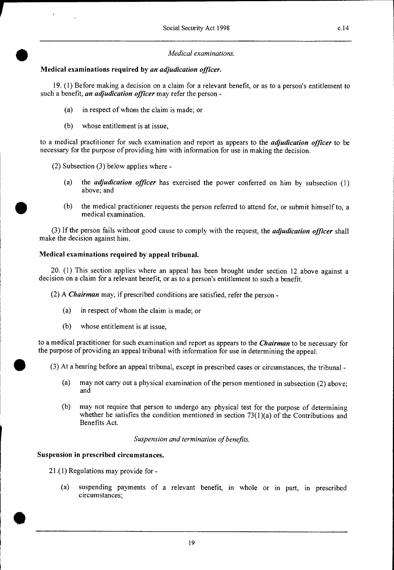# • *Medical examinations.*  **Medical examinations required by** *an adjudication officer.*

19. (1) Before making a decision on a claim for a relevant benefit, or as to a person's entitlement to such a benefit, *an adjudication officer* may refer the person -

- (a) in respect of whom the claim is made; or
- (b) whose entitlement is at issue,

to a medical practitioner for such examination and report as appears to the *adjudication officer* to be necessary for the purpose of providing him with information for use in making the decision.

- (2) Subsection (3) below applies where
	- (a) the *adjudication officer* has exercised the power conferred on him by subsection (1) above; and
	- (b) the medical practitioner requests the person referred to attend for, or submit himself to, a medical examination.

(3) If the person fails without good cause to comply with the request, the *adjudication officer* shall make the decision against him.

# **Medical examinations required by appeal tribunal.**

20. (1) This section applies where an appeal has been brought under section 12 above against a decision on a claim for a relevant benefit, or as to a person's entitlement to such a benefit.

(2) A *Chairman* may, if prescribed conditions are satisfied, refer the person -

- (a) in respect of whom the claim is made; or
- (b) whose entitlement is at issue,

to a medical practitioner for such examination and report as appears to the *Chairman* to be necessary for the purpose of providing an appeal tribunal with information for use in determining the appeal.

(3) At a hearing before an appeal tribunal, except in prescribed cases or circumstances, the tribunal -

- (a) may not carry out a physical examination of the person mentioned in subsection (2) above; and
- (b) may not require that person to undergo any physical test for the purpose of determining whether he satisfies the condition mentioned in section  $73(1)(a)$  of the Contributions and Benefits Act.

*Suspension and termination of benefits.* 

# **Suspension in prescribed circumstances.**

21.(1) Regulations may provide for -

•

L

(a) suspending payments of a relevant benefit, in whole or in part, in prescribed circumstances;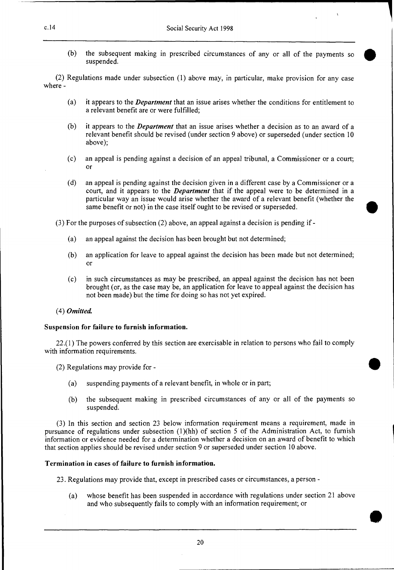(b) the subsequent making in prescribed circumstances of any or all of the payments so suspended.

(2) Regulations made under subsection (1) above may, in particular, make provision for any case where -

- (a) it appears to the *Department* that an issue arises whether the conditions for entitlement to a relevant benefit are or were fulfilled;
- (b) it appears to the *Department* that an issue arises whether a decision as to an award of a relevant benefit should be revised (under section 9 above) or superseded (under section 10 above);
- (c) an appeal is pending against a decision of an appeal tribunal, a Commissioner or a court; or
- (d) an appeal is pending against the decision given in a different case by a Commissioner or a court, and it appears to the *Department* that if the appeal were to be determined in a particular way an issue would arise whether the award of a relevant benefit (whether the same benefit or not) in the case itself ought to be revised or superseded.

(3) For the purposes of subsection (2) above, an appeal against a decision is pending if -

- (a) an appeal against the decision has been brought but not determined;
- (b) an application for leave to appeal against the decision has been made but not determined; or
- (c) in such circumstances as may be prescribed, an appeal against the decision has not been brought (or, as the case may be, an application for leave to appeal against the decision has not been made) but the time for doing so has not yet expired.

#### (4) *Omitted*

#### **Suspension for failure to furnish information.**

22.(1 ) The powers conferred by this section are exercisable in relation to persons who fail to comply with information requirements.

- (2) Regulations may provide for
	- (a) suspending payments of a relevant benefit, in whole or in part;
	- (b) the subsequent making in prescribed circumstances of any or all of the payments so suspended.

(3) In this section and section 23 below information requirement means a requirement, made in pursuance of regulations under subsection (1)(hh) of section 5 of the Administration Act, to furnish information or evidence needed for a determination whether a decision on an award of benefit to which that section applies should be revised under section 9 or superseded under section 10 above.

#### **Termination in cases of failure to furnish information.**

23. Regulations may provide that, except in prescribed cases or circumstances, a person -

(a) whose benefit has been suspended in accordance with regulations under section 21 above and who subsequently fails to comply with an information requirement; or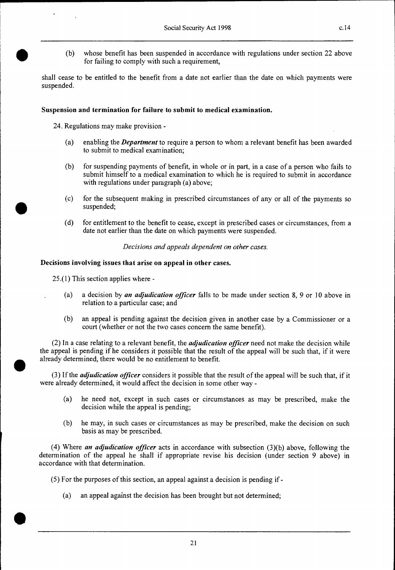(b) whose benefit has been suspended in accordance with regulations under section 22 above for failing to comply with such a requirement,

shall cease to be entitled to the benefit from a date not earlier than the date on which payments were suspended.

#### **Suspension and termination for failure to submit to medical examination.**

24. Regulations may make provision -

- (a) enabling the *Department* to require a person to whom a relevant benefit has been awarded to submit to medical examination;
- (b) for suspending payments of benefit, in whole or in part, in a case of a person who fails to submit himself to a medical examination to which he is required to submit in accordance with regulations under paragraph (a) above;
- (c) for the subsequent making in prescribed circumstances of any or all of the payments so suspended;
- (d) for entitlement to the benefit to cease, except in prescribed cases or circumstances, from a date not earlier than the date on which payments were suspended.

*Decisions and appeals dependent on other cases.* 

#### **Decisions involving issues that arise on appeal in other cases.**

25.(1) This section applies where -

•

•

•

- (a) a decision by *an adjudication officer* falls to be made under section 8, 9 or 10 above in relation to a particular case; and
- (b) an appeal is pending against the decision given in another case by a Commissioner or a court (whether or not the two cases concern the same benefit).

(2) In a case relating to a relevant benefit, the *adjudication officer* need not make the decision while the appeal is pending if he considers it possible that the result of the appeal will be such that, if it were already determined, there would be no entitlement to benefit.

(3) If the *adjudication officer* considers it possible that the result of the appeal will be such that, if it were already determined, it would affect the decision in some other way -

- (a) he need not, except in such cases or circumstances as may be prescribed, make the decision while the appeal is pending;
- (b) he may, in such cases or circumstances as may be prescribed, make the decision on such basis as may be prescribed.

(4) Where *an adjudication officer* acts in accordance with subsection (3)(b) above, following the determination of the appeal he shall if appropriate revise his decision (under section 9 above) in accordance with that determination.

- (5) For the purposes of this section, an appeal against a decision is pending if
	- (a) an appeal against the decision has been brought but not determined;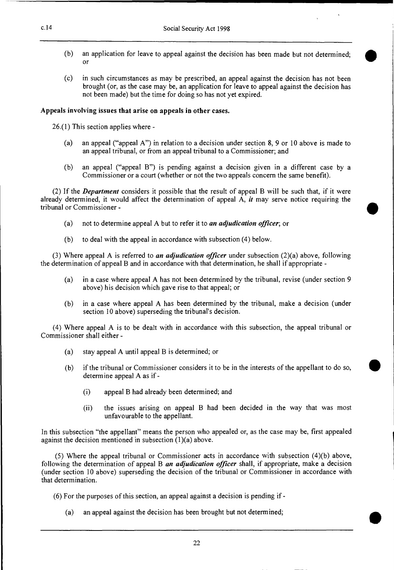- (b) an application for leave to appeal against the decision has been made but not determined; or
- (c) in such circumstances as may be prescribed, an appeal against the decision has not been brought (or, as the case may be, an application for leave to appeal against the decision has not been made) but the time for doing so has not yet expired.

#### **Appeals involving issues that arise on appeals in other cases.**

26.(1) This section applies where -

- (a) an appeal ("appeal A") in relation to a decision under section 8, 9 or 10 above is made to an appeal tribunal, or from an appeal tribunal to a Commissioner; and
- (b) an appeal ("appeal **B")** is pending against a decision given in a different case by a Commissioner or a court (whether or not the two appeals concern the same benefit).

(2) If the *Department* considers it possible that the result of appeal B will be such that, if it were already determined, it would affect the determination of appeal A, *it* may serve notice requiring the tribunal or Commissioner -

- (a) not to determine appeal A but to refer it to *an adjudication officer;* or
- (b) to deal with the appeal in accordance with subsection (4) below.

(3) Where appeal A is referred to *an adjudication officer* under subsection (2)(a) above, following the determination of appeal B and in accordance with that determination, he shall if appropriate -

- (a) in a case where appeal A has not been determined by the tribunal, revise (under section 9 above) his decision which gave rise to that appeal; or
- (b) in a case where appeal A has been determined by the tribunal, make a decision (under section 10 above) superseding the tribunal's decision.

(4) Where appeal A is to be dealt with in accordance with this subsection, the appeal tribunal or Commissioner shall either -

- (a) stay appeal A until appeal B is determined; or
- (b) if the tribunal or Commissioner considers it to be in the interests of the appellant to do so, determine appeal A as if -
	- (i) appeal B had already been determined; and
	- (ii) the issues arising on appeal B had been decided in the way that was most unfavourable to the appellant.

In this subsection "the appellant" means the person who appealed or, as the case may be, first appealed against the decision mentioned in subsection (1)(a) above.

(5) Where the appeal tribunal or Commissioner acts in accordance with subsection (4)(b) above, following the determination of appeal B *an adjudication officer* shall, if appropriate, make a decision (under section 10 above) superseding the decision of the tribunal or Commissioner in accordance with that determination.

(6) For the purposes of this section, an appeal against a decision is pending if -

(a) an appeal against the decision has been brought but not determined;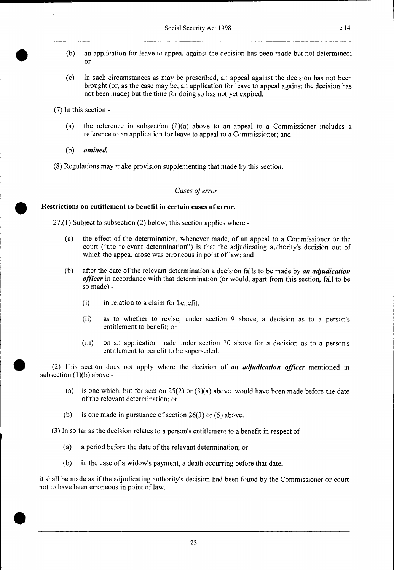- (b) an application for leave to appeal against the decision has been made but not determined; or
- (c) in such circumstances as may be prescribed, an appeal against the decision has not been brought (or, as the case may be, an application for leave to appeal against the decision has not been made) but the time for doing so has not yet expired.

(7) In this section -

- (a) the reference in subsection  $(1)(a)$  above to an appeal to a Commissioner includes a reference to an application for leave to appeal to a Commissioner; and
- *(b) omitted*

•

(8) Regulations may make provision supplementing that made by this section.

#### Cases of error

**Restrictions on entitlement to benefit in certain cases of error.** 

27.(1) Subject to subsection (2) below, this section applies where -

- (a) the effect of the determination, whenever made, of an appeal to a Commissioner or the court ("the relevant determination") is that the adjudicating authority's decision out of which the appeal arose was erroneous in point of law; and
- (b) after the date of the relevant determination a decision falls to be made by *an adjudication officer* in accordance with that determination (or would, apart from this section, fall to be so made) -
	- (i) in relation to a claim for benefit;
	- (ii) as to whether to revise, under section 9 above, a decision as to a person's entitlement to benefit; or
	- (iii) on an application made under section 10 above for a decision as to a person's entitlement to benefit to be superseded.

(2) This section does not apply where the decision of *an adjudication officer* mentioned in subsection  $(1)(b)$  above -

- (a) is one which, but for section  $25(2)$  or  $(3)(a)$  above, would have been made before the date of the relevant determination; or
- (b) is one made in pursuance of section 26(3) or (5) above.

(3) In so far as the decision relates to a person's entitlement to a benefit in respect of -

- (a) a period before the date of the relevant determination; or
- (b) in the case of a widow's payment, a death occurring before that date,

it shall be made as if the adjudicating authority's decision had been found by the Commissioner or court not to have been erroneous in point of law.

23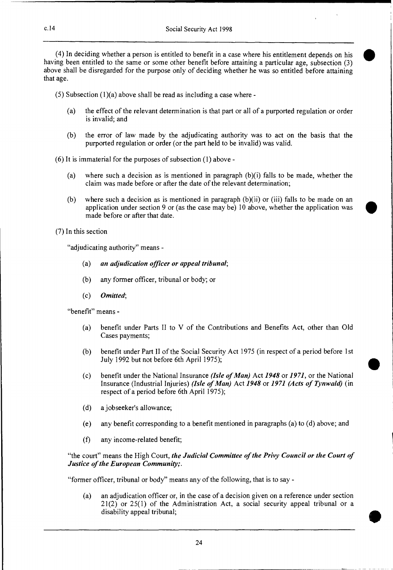(4) In deciding whether a person is entitled to benefit in a case where his entitlement depends on his having been entitled to the same or some other benefit before attaining a particular age, subsection (3) above shall be disregarded for the purpose only of deciding whether he was so entitled before attaining that age.

 $(5)$  Subsection  $(1)(a)$  above shall be read as including a case where -

- (a) the effect of the relevant determination is that part or all of a purported regulation or order is invalid; and
- (b) the error of law made by the adjudicating authority was to act on the basis that the purported regulation or order (or the part held to be invalid) was valid.
- (6) It is immaterial for the purposes of subsection (1) above
	- (a) where such a decision as is mentioned in paragraph (b)(i) falls to be made, whether the claim was made before or after the date of the relevant determination;
	- (b) where such a decision as is mentioned in paragraph  $(b)(ii)$  or (iii) falls to be made on an application under section 9 or (as the case may be) 10 above, whether the application was made before or after that date.

(7) In this section

"adjudicating authority" means -

- *(a) an adjudication officer or appeal tribunal;*
- (b) any former officer, tribunal or body; or
- *(c) Omitted;*

"benefit" means -

- (a) benefit under Parts II to V of the Contributions and Benefits Act, other than Old Cases payments;
- (b) benefit under Part II of the Social Security Act 1975 (in respect of a period before 1st July 1992 but not before 6th April 1975);
- (c) benefit under the National Insurance *(Isle of Man)* Act *1948* or *1971,* or the National Insurance (Industrial Injuries) *(Isle of Man)* Act *1948* or *1971 (Acts of Tynwald)* (in respect of a period before 6th April 1975);
- (d) a jobseeker's allowance;
- (e) any benefit corresponding to a benefit mentioned in paragraphs (a) to (d) above; and
- (f) any income-related benefit;

"the court" means the High Court, *the Judicial Committee of the Privy Council or the Court of Justice of the European Community;.* 

"former officer, tribunal or body" means any of the following, that is to say -

(a) an adjudication officer or, in the case of a decision given on a reference under section 21(2) or 25(1) of the Administration Act, a social security appeal tribunal or a disability appeal tribunal;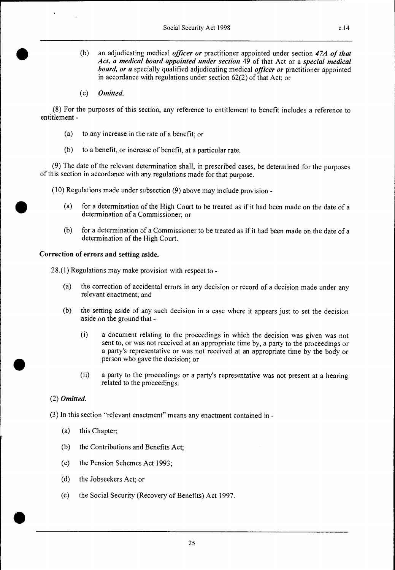- (b) an adjudicating medical *officer or* practitioner appointed under section *47A of that Act, a medical board appointed under section* 49 of that Act or a *special medical board, or a* specially qualified adjudicating medical *officer or* practitioner appointed in accordance with regulations under section 62(2) of that Act; or
- *(c) Omitted.*

(8) For the purposes of this section, any reference to entitlement to benefit includes a reference to entitlement -

- (a) to any increase in the rate of a benefit; or
- (b) to a benefit, or increase of benefit, at a particular rate.

(9) The date of the relevant determination shall, in prescribed cases, be determined for the purposes of this section in accordance with any regulations made for that purpose.

(10) Regulations made under subsection (9) above may include provision -

- (a) for a determination of the High Court to be treated as if it had been made on the date of a determination of a Commissioner; or
- (b) for a determination of a Commissioner to be treated as if it had been made on the date of a determination of the High Court.

#### **Correction of errors and setting aside.**

28.(1) Regulations may make provision with respect to -

- (a) the correction of accidental errors in any decision or record of a decision made under any relevant enactment; and
- (b) the setting aside of any such decision in a case where it appears just to set the decision aside on the ground that -
	- (i) a document relating to the proceedings in which the decision was given was not sent to, or was not received at an appropriate time by, a party to the proceedings or a party's representative or was not received at an appropriate time by the body or person who gave the decision; or
	- (ii) a party to the proceedings or a party's representative was not present at a hearing related to the proceedings.

#### *(2) Omitted.*

(3) In this section "relevant enactment" means any enactment contained in -

- (a) this Chapter;
- (b) the Contributions and Benefits Act;
- (c) the Pension Schemes Act 1993;
- (d) the Jobseekers Act; or
- (e) the Social Security (Recovery of Benefits) Act 1997.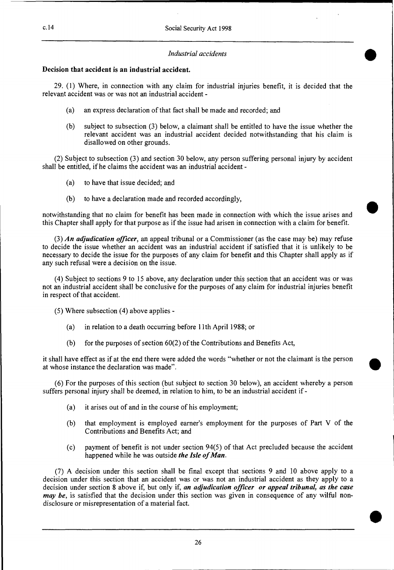#### *Industrial accidents*

•

•

•

### **Decision that accident is an industrial accident.**

29. (1) Where, in connection with any claim for industrial injuries benefit, it is decided that the relevant accident was or was not an industrial accident -

- (a) an express declaration of that fact shall be made and recorded; and
- (b) subject to subsection (3) below, a claimant shall be entitled to have the issue whether the relevant accident was an industrial accident decided notwithstanding that his claim is disallowed on other grounds.

(2) Subject to subsection (3) and section 30 below, any person suffering personal injury by accident shall be entitled, if he claims the accident was an industrial accident -

- (a) to have that issue decided; and
- (b) to have a declaration made and recorded accordingly,

notwithstanding that no claim for benefit has been made in connection with which the issue arises and this Chapter shall apply for that purpose as if the issue had arisen in connection with a claim for benefit.

(3) *An adjudication officer,* an appeal tribunal or a Commissioner (as the case may be) may refuse to decide the issue whether an accident was an industrial accident if satisfied that it is unlikely to be necessary to decide the issue for the purposes of any claim for benefit and this Chapter shall apply as if any such refusal were a decision on the issue.

(4) Subject to sections 9 to 15 above, any declaration under this section that an accident was or was not an industrial accident shall be conclusive for the purposes of any claim for industrial injuries benefit in respect of that accident.

(5) Where subsection (4) above applies -

- (a) in relation to a death occurring before 11th April 1988; or
- (b) for the purposes of section  $60(2)$  of the Contributions and Benefits Act,

it shall have effect as if at the end there were added the words "whether or not the claimant is the person at whose instance the declaration was made".

(6) For the purposes of this section (but subject to section 30 below), an accident whereby a person suffers personal injury shall be deemed, in relation to him, to be an industrial accident if -

- (a) it arises out of and in the course of his employment;
- (b) that employment is employed earner's employment for the purposes of Part V of the Contributions and Benefits Act; and
- (c) payment of benefit is not under section 94(5) of that Act precluded because the accident happened while he was outside *the Isle of Man.*

*(7)* A decision under this section shall be final except that sections 9 and 10 above apply to a decision under this section that an accident was or was not an industrial accident as they apply to a decision under section 8 above if, but only if, *an adjudication officer or appeal tribunal, as the case may be,* is satisfied that the decision under this section was given in consequence of any wilful nondisclosure or misrepresentation of a material fact.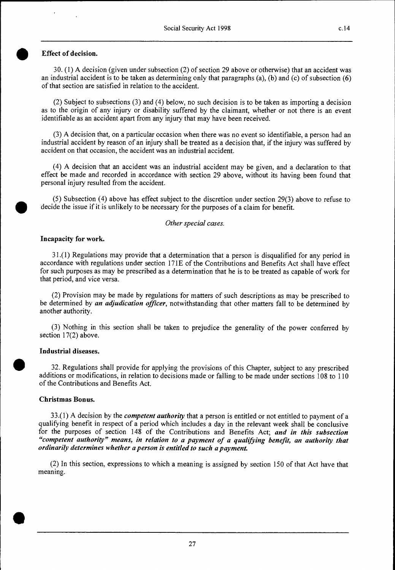#### • **Effect of decision.**

30. (1) A decision (given under subsection (2) of section 29 above or otherwise) that an accident was an industrial accident is to be taken as determining only that paragraphs (a), (b) and (c) of subsection (6) of that section are satisfied in relation to the accident.

(2) Subject to subsections (3) and (4) below, no such decision is to be taken as importing a decision as to the origin of any injury or disability suffered by the claimant, whether or not there is an event identifiable as an accident apart from any injury that may have been received.

(3) A decision that, on a particular occasion when there was no event so identifiable, a person had an industrial accident by reason of an injury shall be treated as a decision that, if the injury was suffered by accident on that occasion, the accident was an industrial accident.

(4) A decision that an accident was an industrial accident may be given, and a declaration to that effect be made and recorded in accordance with section 29 above, without its having been found that personal injury resulted from the accident.

(5) Subsection (4) above has effect subject to the discretion under section 29(3) above to refuse to • decide the issue if it is unlikely to be necessary for the purposes of a claim for benefit.

#### *Other special cases.*

#### **Incapacity for work.**

31.(1) Regulations may provide that a determination that a person is disqualified for any period in accordance with regulations under section 171E of the Contributions and Benefits Act shall have effect for such purposes as may be prescribed as a determination that he is to be treated as capable of work for that period, and vice versa.

(2) Provision may be made by regulations for matters of such descriptions as may be prescribed to be determined by *an adjudication officer,* notwithstanding that other matters fall to be determined by another authority.

(3) Nothing in this section shall be taken to prejudice the generality of the power conferred by section 17(2) above.

#### **Industrial diseases.**

•

**•** 

32. Regulations shall provide for applying the provisions of this Chapter, subject to any prescribed additions or modifications, in relation to decisions made or falling to be made under sections 108 to 110 of the Contributions and Benefits Act.

#### **Christmas Bonus.**

33.(1) A decision by the *competent authority* that a person is entitled or not entitled to payment of a qualifying benefit in respect of a period which includes a day in the relevant week shall be conclusive for the purposes of section 148 of the Contributions and Benefits Act; *and in this subsection "competent authority" means, in relation to a payment of a qualifying benefit, an authority that ordinarily determines whether a person is entitled to such a payment* 

(2) In this section, expressions to which a meaning is assigned by section 150 of that Act have that meaning.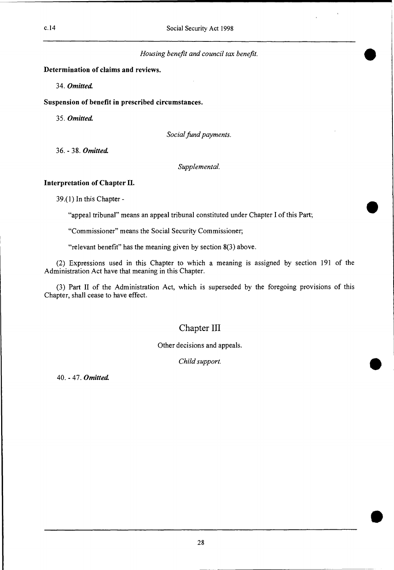*Housing benefit and council tax benefit.* 

**Determination of claims and reviews.** 

*34. Omitted.* 

**Suspension of benefit in prescribed circumstances.** 

*35. Omitted* 

*Social fund payments.* 

36. - 38. *Omitted* 

*Supplemental.* 

#### **Interpretation of Chapter II.**

39.(1) In this Chapter -

"appeal tribunal" means an appeal tribunal constituted under Chapter I of this Part;

"Commissioner" means the Social Security Commissioner;

"relevant benefit" has the meaning given by section 8(3) above.

(2) Expressions used in this Chapter to which a meaning is assigned by section 191 of the Administration Act have that meaning in this Chapter.

(3) Part II of the Administration Act, which is superseded by the foregoing provisions of this Chapter, shall cease to have effect.

# Chapter III

Other decisions and appeals.

*Child support.* 

40. - 47. *Omitted* 

28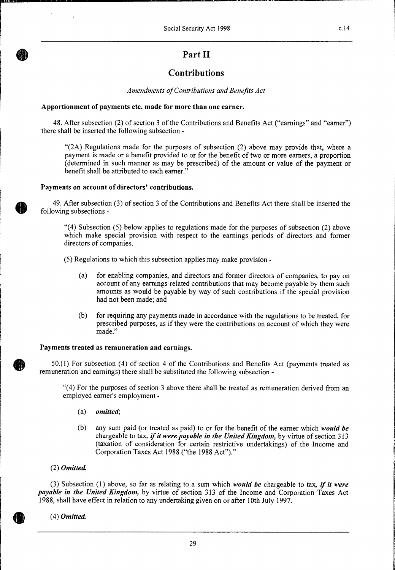# **Part II**

# **Contributions**

*Amendments of Contributions and Benefits Act* 

#### **Apportionment of payments etc. made for more than one earner.**

48. After subsection (2) of section 3 of the Contributions and Benefits Act ("earnings" and "earner") there shall be inserted the following subsection -

"(2A) Regulations made for the purposes of subsection (2) above may provide that, where a payment is made or a benefit provided to or for the benefit of two or more earners, a proportion (determined in such manner as may be prescribed) of the amount or value of the payment or benefit shall be attributed to each earner."

#### **Payments on account of directors' contributions.**

49. After subsection (3) of section 3 of the Contributions and Benefits Act there shall be inserted the following subsections -

 $(4)$  Subsection (5) below applies to regulations made for the purposes of subsection (2) above which make special provision with respect to the earnings periods of directors and former directors of companies.

(5) Regulations to which this subsection applies may make provision -

- (a) for enabling companies, and directors and former directors of companies, to pay on account of any earnings-related contributions that may become payable by them such amounts as would be payable by way of such contributions if the special provision had not been made; and
- (b) for requiring any payments made in accordance with the regulations to be treated, for prescribed purposes, as if they were the contributions on account of which they were made."

#### **Payments treated as remuneration and earnings.**

50.(1) For subsection (4) of section 4 of the Contributions and Benefits Act (payments treated as remuneration and earnings) there shall be substituted the following subsection -

"(4) For the purposes of section 3 above there shall be treated as remuneration derived from an employed earner's employment -

- *(a) omitted;*
- (b) any sum paid (or treated as paid) to or for the benefit of the earner which *would be*  chargeable to tax, *if it were payable in the United Kingdom,* by virtue of section 313 (taxation of consideration for certain restrictive undertakings) of the Income and Corporation Taxes Act 1988 ("the 1988 Act")."
- *(2) Omitted*

(3) Subsection (1) above, so far as relating to a sum which *would be* chargeable to tax, *if it were payable in the United Kingdom,* by virtue of section 313 of the Income and Corporation Taxes Act 1988, shall have effect in relation to any undertaking given on or after 10th July 1997.

*(4) Omitted*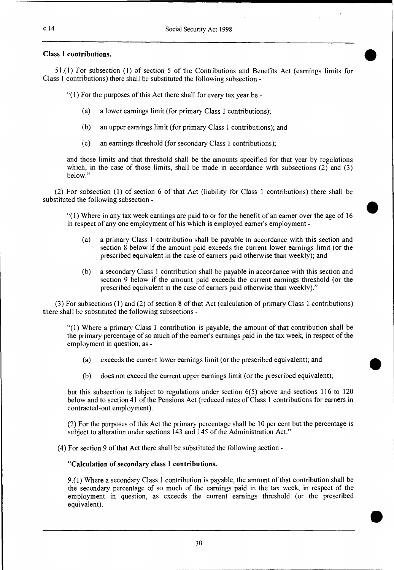#### **Class 1 contributions.**

51.(1) For subsection (1) of section 5 of the Contributions and Benefits Act (earnings limits for Class 1 contributions) there shall be substituted the following subsection -

 $''(1)$  For the purposes of this Act there shall for every tax year be -

- (a) a lower earnings limit (for primary Class 1 contributions);
- (b) an upper earnings limit (for primary Class 1 contributions); and
- (c) an earnings threshold (for secondary Class 1 contributions);

and those limits and that threshold shall be the amounts specified for that year by regulations which, in the case of those limits, shall be made in accordance with subsections (2) and (3) below."

(2) For subsection (1) of section 6 of that Act (liability for Class 1 contributions) there shall be substituted the following subsection -

"(1) Where in any tax week earnings are paid to or for the benefit of an earner over the age of 16 in respect of any one employment of his which is employed earner's employment -

- (a) a primary Class 1 contribution shall be payable in accordance with this section and section 8 below if the amount paid exceeds the current lower earnings limit (or the prescribed equivalent in the case of earners paid otherwise than weekly); and
- (b) a secondary Class 1 contribution shall be payable in accordance with this section and section 9 below if the amount paid exceeds the current earnings threshold (or the prescribed equivalent in the case of earners paid otherwise than weekly)."

(3) For subsections (1) and (2) of section 8 of that Act (calculation of primary Class 1 contributions) there shall be substituted the following subsections -

"(1) Where a primary Class 1 contribution is payable, the amount of that contribution shall be the primary percentage of so much of the earner's earnings paid in the tax week, in respect of the employment in question, as -

- (a) exceeds the current lower earnings limit (or the prescribed equivalent); and
- (b) does not exceed the current upper earnings limit (or the prescribed equivalent);

but this subsection is subject to regulations under section 6(5) above and sections 116 to 120 below and to section 41 of the Pensions Act (reduced rates of Class 1 contributions for earners in contracted-out employment).

(2) For the purposes of this Act the primary percentage shall be 10 per cent but the percentage is subject to alteration under sections 143 and 145 of the Administration Act."

(4) For section 9 of that Act there shall be substituted the following section **-** 

#### **"Calculation of secondary class 1 contributions.**

9.(1) Where a secondary Class 1 contribution is payable, the amount of that contribution shall be the secondary percentage of so much of the earnings paid in the tax week, in respect of the employment in question, as exceeds the current earnings threshold (or the prescribed equivalent).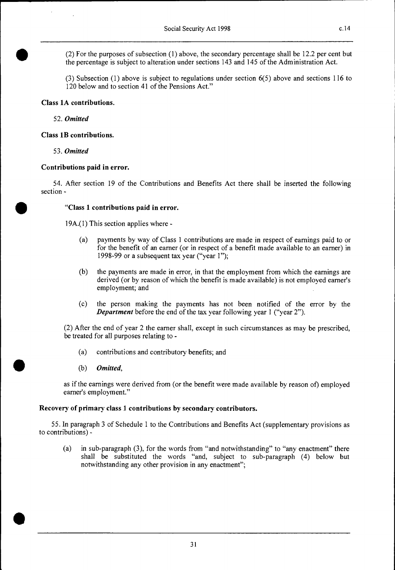0 (2) For the purposes of subsection (1) above, the secondary percentage shall be 12.2 per cent but the percentage is subject to alteration under sections 143 and 145 of the Administration Act.

(3) Subsection (1) above is subject to regulations under section 6(5) above and sections 116 to 120 below and to section 41 of the Pensions Act."

#### **Class 1A contributions.**

52. *Omitted* 

#### **Class 1B contributions.**

53. *Omitted* 

•

•

•

#### **Contributions paid in error.**

54. After section 19 of the Contributions and Benefits Act there shall be inserted the following section **-** 

#### **"Class 1 contributions paid in error.**

19A.(1) This section applies where -

- (a) payments by way of Class 1 contributions are made in respect of earnings paid to or for the benefit of an earner (or in respect of a benefit made available to an earner) in 1998-99 or a subsequent tax year ("year I");
- (b) the payments are made in error, in that the employment from which the earnings are derived (or by reason of which the benefit is made available) is not employed earner's employment; and
- (c) the person making the payments has not been notified of the error by the *Department* before the end of the tax year following year 1 ("year 2").

(2) After the end of year 2 the earner shall, except in such circumstances as may be prescribed, be treated for all purposes relating to -

- (a) contributions and contributory benefits; and
- *(b) Omitted,*

as if the earnings were derived from (or the benefit were made available by reason of) employed earner's employment."

#### **Recovery of primary class 1 contributions by secondary contributors.**

55. In paragraph 3 of Schedule 1 to the Contributions and Benefits Act (supplementary provisions as to contributions) -

(a) in sub-paragraph (3), for the words from "and notwithstanding" to "any enactment" there shall be substituted the words "and, subject to sub-paragraph (4) below but notwithstanding any other provision in any enactment";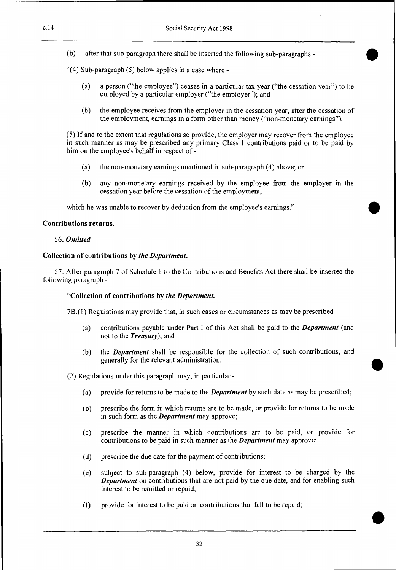(b) after that sub-paragraph there shall be inserted the following sub-paragraphs -

"(4) Sub-paragraph (5) below applies in a case where -

- (a) a person ("the employee") ceases in a particular tax year ("the cessation year") to be employed by a particular employer ("the employer"); and
- (b) the employee receives from the employer in the cessation year, after the cessation of the employment, earnings in a form other than money ("non-monetary earnings").

(5) If and to the extent that regulations so provide, the employer may recover from the employee in such manner as may be prescribed any primary Class 1 contributions paid or to be paid by him on the employee's behalf in respect of -

- (a) the non-monetary earnings mentioned in sub-paragraph (4) above; or
- (b) any non-monetary earnings received by the employee from the employer in the cessation year before the cessation of the employment,

which he was unable to recover by deduction from the employee's earnings."

#### **Contributions returns.**

#### *56. Omitted*

#### **Collection of contributions by** *the Department.*

57. After paragraph 7 of Schedule 1 to the Contributions and Benefits Act there shall be inserted the following paragraph **-** 

#### **"Collection of contributions by** *the Department*

7B.(1) Regulations may provide that, in such cases or circumstances as may be prescribed -

- (a) contributions payable under Part I of this Act shall be paid to the *Department* (and not to the *Treasury);* **and**
- (b) the *Department* shall be responsible for the collection of such contributions, and generally for the relevant administration.

(2) Regulations under this paragraph may, in particular -

- (a) provide for returns to be made to the *Department* by such date as may be prescribed;
- (b) prescribe the form in which returns are to be made, or provide for returns to be made in such form as the *Department* may approve;
- (c) prescribe the manner in which contributions are to be paid, or provide for contributions to be paid in such manner as the *Department* may approve;
- (d) prescribe the due date for the payment of contributions;
- (e) subject to sub-paragraph (4) below, provide for interest to be charged by the *Department* on contributions that are not paid by the due date, and for enabling such interest to be remitted or repaid;
- (f) provide for interest to be paid on contributions that fall to be repaid;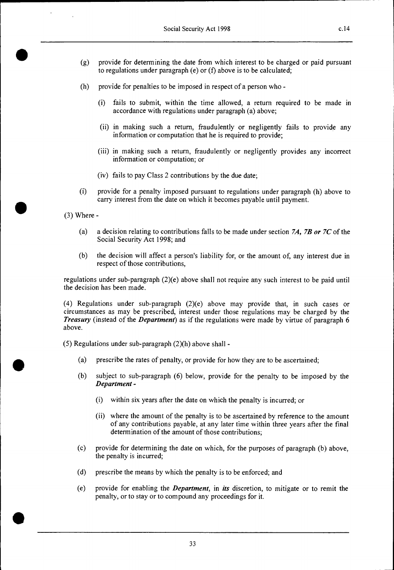- (g) provide for determining the date from which interest to be charged or paid pursuant to regulations under paragraph (e) or (f) above is to be calculated;
- (h) provide for penalties to be imposed in respect of a person who
	- (i) fails to submit, within the time allowed, a return required to be made in accordance with regulations under paragraph (a) above;
	- (ii) in making such a return, fraudulently or negligently fails to provide any information or computation that he is required to provide;
	- (iii) in making such a return, fraudulently or negligently provides any incorrect information or computation; or
	- (iv) fails to pay Class 2 contributions by the due date;
- (i) provide for a penalty imposed pursuant to regulations under paragraph (h) above to carry interest from the date on which it becomes payable until payment.

(3) Where -

- (a) a decision relating to contributions falls to be made under section *7A, 7B or 7C* of the Social Security Act 1998; and
- (b) the decision will affect a person's liability for, or the amount of, any interest due in respect of those contributions,

regulations under sub-paragraph (2)(e) above shall not require any such interest to be paid until the decision has been made.

(4) Regulations under sub-paragraph (2)(e) above may provide that, in such cases or circumstances as may be prescribed, interest under those regulations may be charged by the *Treasury* (instead of the *Department)* as if the regulations were made by virtue of paragraph 6 above.

(5) Regulations under sub-paragraph (2)(h) above shall -

- (a) prescribe the rates of penalty, or provide for how they are to be ascertained;
- (b) subject to sub-paragraph (6) below, provide for the penalty to be imposed by the *Department -* 
	- (i) within six years after the date on which the penalty is incurred; or
	- (ii) where the amount of the penalty is to be ascertained by reference to the amount of any contributions payable, at any later time within three years after the final determination of the amount of those contributions;
- (c) provide for determining the date on which, for the purposes of paragraph (b) above, the penalty is incurred;
- (d) prescribe the means by which the penalty is to be enforced; and
- (e) provide for enabling the *Department,* in *its* discretion, to mitigate or to remit the penalty, or to stay or to compound any proceedings for it.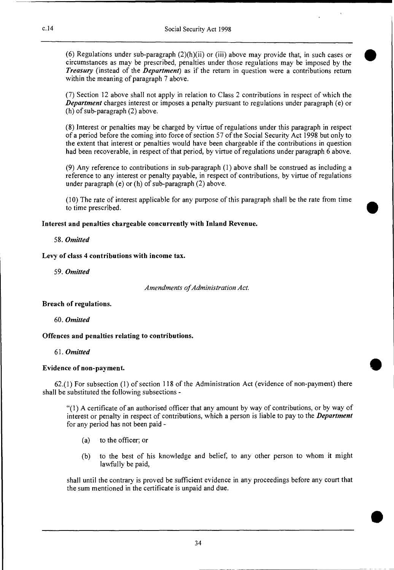(6) Regulations under sub-paragraph  $(2)(h)(ii)$  or (iii) above may provide that, in such cases or circumstances as may be prescribed, penalties under those regulations may be imposed by the *Treasury* (instead of the *Department)* as if the return in question were a contributions return within the meaning of paragraph 7 above.

•

•

•

(7) Section 12 above shall not apply in relation to Class 2 contributions in respect of which the *Department* charges interest or imposes a penalty pursuant to regulations under paragraph (e) or (h) of sub-paragraph (2) above.

(8) Interest or penalties may be charged by virtue of regulations under this paragraph in respect of a period before the coming into force of section 57 of the Social Security Act 1998 but only to the extent that interest or penalties would have been chargeable if the contributions in question had been recoverable, in respect of that period, by virtue of regulations under paragraph 6 above.

(9) Any reference to contributions in sub-paragraph (1) above shall be construed as including a reference to any interest or penalty payable, in respect of contributions, by virtue of regulations under paragraph (e) or (h) of sub-paragraph (2) above.

(10) The rate of interest applicable for any purpose of this paragraph shall be the rate from time to time prescribed.

#### **Interest and penalties chargeable concurrently with Inland Revenue.**

#### *58. Omitted*

#### **Levy of class 4 contributions with income tax.**

*59. Omitted* 

*Amendments of Administration Act.* 

#### **Breach of regulations.**

# *60. Omitted*

# **Offences and penalties relating to contributions.**

#### *61. Omitted*

# **Evidence of non-payment.**

62.(1) For subsection (1) of section 118 of the Administration Act (evidence of non-payment) there shall be substituted the following subsections -

"(1) A certificate of an authorised officer that any amount by way of contributions, or by way of interest or penalty in respect of contributions, which a person is liable to pay to the *Department*  for any period has not been paid -

- (a) to the officer; or
- (b) to the best of his knowledge and belief, to any other person to whom it might lawfully be paid,

shall until the contrary is proved be sufficient evidence in any proceedings before any court that the sum mentioned in the certificate is unpaid and due.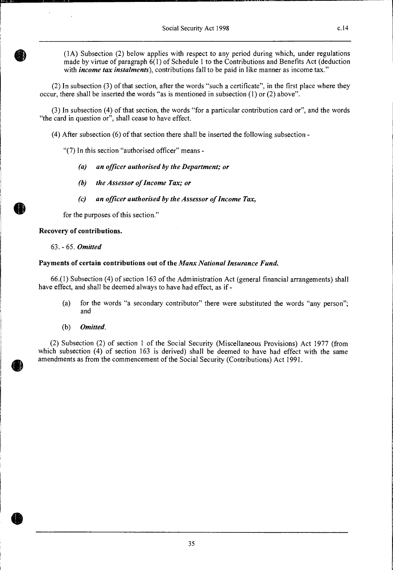(1A) Subsection (2) below applies with respect to any period during which, under regulations made by virtue of paragraph 6(1) of Schedule 1 to the Contributions and Benefits Act (deduction with *income tax instalments*), contributions fall to be paid in like manner as income tax."

(2) In subsection (3) of that section, after the words "such a certificate", in the first place where they occur, there shall be inserted the words "as is mentioned in subsection (1) or (2) above".

(3) In subsection (4) of that section, the words "for a particular contribution card or", and the words "the card in question or", shall cease to have effect.

(4) After subsection (6) of that section there shall be inserted the following subsection -

"(7) In this section "authorised officer" means *-* 

- *(a) an officer authorised by the Department; or*
- *(b) the Assessor of Income Tax; or*
- *(c) an officer authorised by the Assessor of Income Tax,*

for the purposes of this section."

#### **Recovery of contributions.**

63. - 65. *Omitted* 

#### **Payments of certain contributions out of the** *Manx National Insurance Fund.*

66.(1) Subsection (4) of section 163 of the Administration Act (general financial arrangements) shall have effect, and shall be deemed always to have had effect, as if -

- (a) for the words "a secondary contributor" there were substituted the words "any person"; and
- *(b) Omitted.*

(2) Subsection (2) of section 1 of the Social Security (Miscellaneous Provisions) Act 1977 (from which subsection (4) of section 163 is derived) shall be deemed to have had effect with the same amendments as from the commencement of the Social Security (Contributions) Act 1991.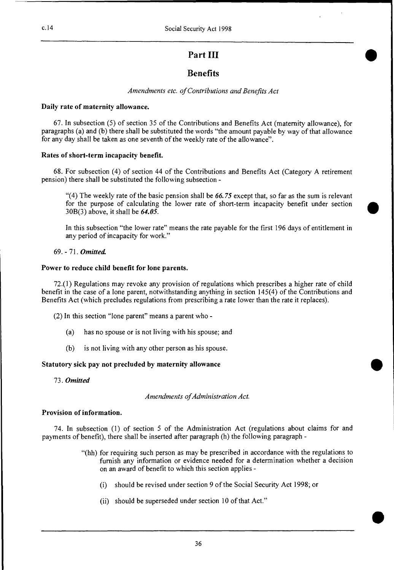# **Part III**

# **Benefits**

*Amendments etc. of Contributions and Benefits Act* 

#### **Daily rate of maternity allowance.**

67. In subsection (5) of section 35 of the Contributions and Benefits Act (maternity allowance), for paragraphs (a) and (b) there shall be substituted the words "the amount payable by way of that allowance for any day shall be taken as one seventh of the weekly rate of the allowance".

#### **Rates of short-term incapacity benefit.**

68. For subsection (4) of section 44 of the Contributions and Benefits Act (Category A retirement pension) there shall be substituted the following subsection -

"(4) The weekly rate of the basic pension shall be *66.75* except that, so far as the sum is relevant for the purpose of calculating the lower rate of short-term incapacity benefit under section 30B(3) above, it shall be *64.05.* 

In this subsection "the lower rate" means the rate payable for the first 196 days of entitlement in any period of incapacity for work."

69. - 71. *Omitted* 

#### **Power to reduce child benefit for lone parents.**

72.(1) Regulations may revoke any provision of regulations which prescribes a higher rate of child benefit in the case of a lone parent, notwithstanding anything in section 145(4) of the Contributions and Benefits Act (which precludes regulations from prescribing a rate lower than the rate it replaces).

(2) In this section "lone parent" means a parent who -

- (a) has no spouse or is not living with his spouse; and
- (b) is not living with any other person as his spouse.

# **Statutory sick pay not precluded by maternity allowance**

*73. Omitted* 

*Amendments of Administration Act.* 

#### **Provision of information.**

74. In subsection (1) of section 5 of the Administration Act (regulations about claims for and payments of benefit), there shall be inserted after paragraph (h) the following paragraph -

- "(hh) for requiring such person as may be prescribed in accordance with the regulations to furnish any information or evidence needed for a determination whether a decision on an award of benefit to which this section applies -
	- (i) should be revised under section 9 of the Social Security Act 1998; or
	- (ii) should be superseded under section 10 of that Act."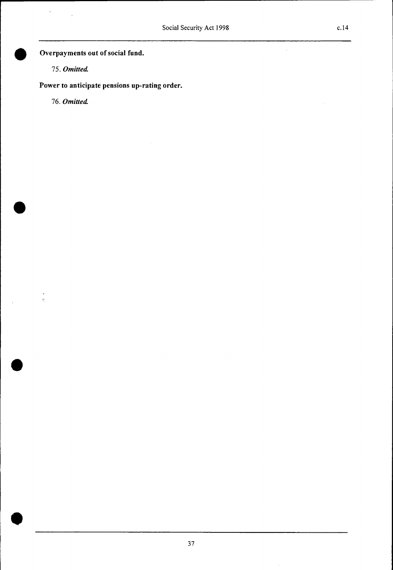• **Overpayments out of social fund.** 

*75. Omitted* 

 $\lambda_{\rm max}$  ,  $\lambda_{\rm max}$ 

**Power to anticipate pensions up-rating order.** 

*76. Omitted* 

•

•

 $\bar{\nu}$  $\tilde{\tau}$ 

•

 $\ddot{\phantom{0}}$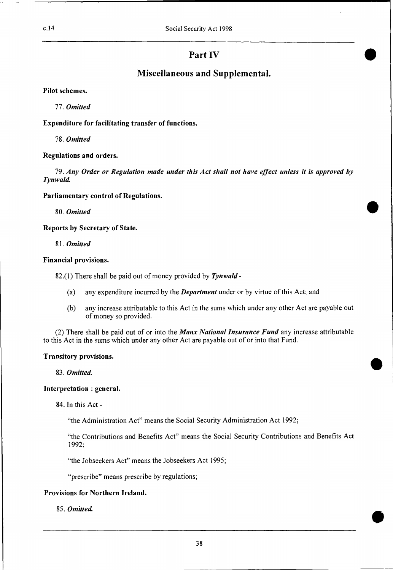# **Part IV**

# **Miscellaneous and Supplemental.**

**Pilot schemes.** 

*77. Omitted* 

**Expenditure for facilitating transfer of functions.** 

*78. Omitted* 

#### **Regulations and orders.**

*79. Any Order or Regulation made under this Act shall not have effect unless it is approved by Tynwald* 

**Parliamentary control of Regulations.** 

*80. Omitted* 

**Reports by Secretary of State.** 

*81. Omitted* 

*Financial* **provisions.** 

82.(1) There shall be paid out of money provided by *Tynwald* -

- (a) any expenditure incurred by the *Department* under or by virtue of this Act; and
- (b) any increase attributable to this Act in the sums which under any other Act are payable out of money so provided.

(2) There shall be paid out of or into the *Manx National Insurance Fund* any increase attributable to this Act in the sums which under any other Act are payable out of or into that Fund.

#### **Transitory provisions.**

*83. Omitted.* 

#### **Interpretation : general.**

84. In this Act -

"the Administration Act" means the Social Security Administration Act 1992;

"the Contributions and Benefits Act" means the Social Security Contributions and Benefits Act 1992;

"the Jobseekers Act" means the Jobseekers Act 1995;

"prescribe" means prescribe by regulations;

# **Provisions for Northern Ireland.**

*85. Omitted*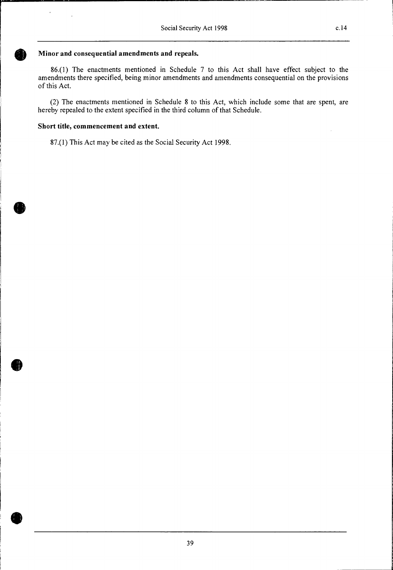### **Minor and consequential amendments and repeals.**

86.(1) The enactments mentioned in Schedule 7 to this Act shall have effect subject to the amendments there specified, being minor amendments and amendments consequential on the provisions of this Act.

(2) The enactments mentioned in Schedule 8 to this Act, which include some that are spent, are hereby repealed to the extent specified in the third column of that Schedule.

#### **Short title, commencement and extent.**

 $\bar{t}$ 

87.(1) This Act may be cited as the Social Security Act 1998.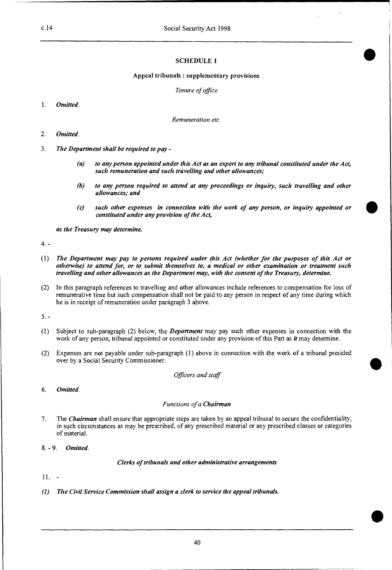#### **SCHEDULE 1**

#### **Appeal tribunals : supplementary provisions**

*Tenure of office* 

*1. Omitted.* 

*Remuneration etc.* 

- 2. *Omitted.*
- 3. *The Department shall be required to pay* 
	- *(a) to any person appointed under this Act as an expert to any tribunal constituted under the Act, such remuneration and such travelling and other allowances;*
	- *(b) to any person required to attend at any proceedings or inquiry, such travelling and other allowances; and*
	- *(c) such other expenses in connection with the work of any person, or inquiry appointed or constituted under any provision of the Act,*

*as the Treasury may determine* 

4. -

- *(1) The Department may pay to persons required under this Act (whether for the purposes of this Act or otherwise) to attend for, or to submit themselves to, a medical or other examination or treatment such travelling and other allowances as the Department may, with the consent of the Treasury, determine.*
- (2) In this paragraph references to travelling and other allowances include references to compensation for loss of remunerative time but such compensation shall not be paid to any person in respect of any time during which he is in receipt of remuneration under paragraph 3 above.

5. -

- (1) Subject to sub-paragraph (2) below, the *Department* may pay such other expenses in connection with the work of any person, tribunal appointed or constituted under any provision of this Part as *it* may determine.
- (2) Expenses are not payable under sub-paragraph (1) above in connection with the work of a tribunal presided over by a Social Security Commissioner.

*Officers and staff* 

6. *Omitted.* 

#### *Functions of a Chairman*

- 7. The *Chairman* shall ensure that appropriate steps are taken by an appeal tribunal to secure the confidentiality, in such circumstances as may be prescribed, of any prescribed material or any prescribed classes or categories of material.
- 8. 9. *Omitted.*

*Clerks of tribunals and other administrative arrangements* 

 $11. -$ 

*(I) The Civil Service Commission shall assign a clerk to service the appeal tribunals.*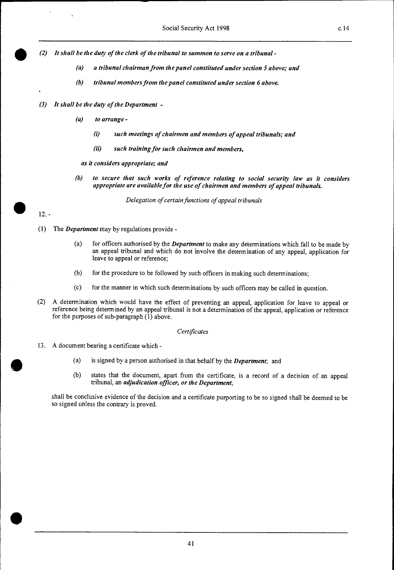• *(2) It shall be the duty of the clerk of the tribunal to summon to serve on a tribunal -* 

- *(a) a tribunal chairman from the panel constituted under section 5 above; and*
- *(b) tribunal members from the panel constituted under section 6 above.*
- *(3) It shall be the duty of the Department* 
	- *(a) to arrange* 
		- *(1) such meetings of chairmen and members of appeal tribunals; and*
		- *(ii) such training for such chairmen and members,*

*as it considers appropriate; and* 

*(b) to secure that such works of reference relating to social security law as it considers appropriate are available for the use of chairmen and members of appeal tribunals.* 

*Delegation of certain functions of appeal tribunals* 

# $\bullet$  12. -

•

- (1) The *Department* may by regulations provide
	- (a) for officers authorised by the *Department* to make any determinations which fall to be made by an appeal tribunal and which do not involve the determination of any appeal, application for leave to appeal or reference;
	- (b) for the procedure to be followed by such officers in making such determinations;
	- (c) for the manner in which such determinations by such officers may be called in question.
- (2) A determination which would have the effect of preventing an appeal, application for leave to appeal or reference being determined by an appeal tribunal is not a determination of the appeal, application or reference for the purposes of sub-paragraph (1) above.

#### *Certificates*

- 
- 13. A document bearing a certificate which -<br>
(a) is signed by a person authorised in that behalf by the *Department*; and<br>
(b) states that the document, apart from the certificate is a record of a
	- states that the document, apart from the certificate, is a record of a decision of an appeal tribunal, an *adjudication officer, or the Department,*

shall be conclusive evidence of the decision and a certificate purporting to be so signed shall be deemed to be so signed unless the contrary is proved.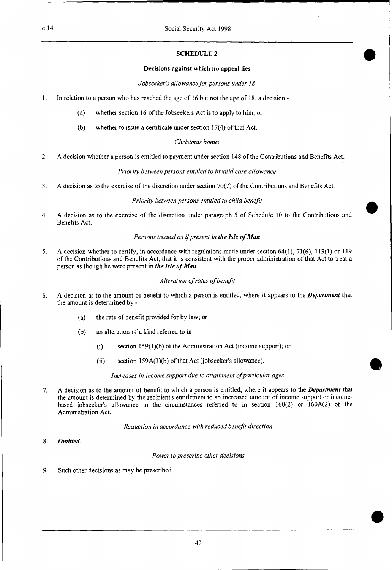#### **SCHEDULE 2**

#### **Decisions against which no appeal lies**

*Jobseeker's allowance for persons under 18* 

- I. In relation to a person who has reached the age of 16 but not the age of 18, a decision
	- (a) whether section 16 of the Jobseekers Act is to apply to him; or
	- (b) whether to issue a certificate under section 17(4) of that Act.

#### *Christmas bonus*

2. A decision whether a person is entitled to payment under section 148 of the Contributions and Benefits Act.

#### *Priority between persons entitled to invalid care allowance*

3. A decision as to the exercise of the discretion under section 70(7) of the Contributions and Benefits Act.

#### *Priority between persons entitled to child benefit*

4. A decision as to the exercise of the discretion under paragraph 5 of Schedule 10 to the Contributions and **Benefits** Act.

#### *Persons treated as if present in the Isle of Man*

5. A decision whether to certify, in accordance with regulations made under section 64(1), 71(6), 113(1) or 119 of the Contributions and Benefits Act, that it is consistent with the proper administration of that Act to treat a person as though he were present in *the Isle of Man.* 

#### *Alteration of rates of benefit*

- 6. A decision as to the amount of benefit to which a person is entitled, where it appears to the *Department* that the amount is determined by -
	- (a) the rate of benefit provided for by law; or
	- (b) an alteration of a kind referred to in
		- (i) section 159(I)(b) of the Administration Act (income support); or
		- (ii) section 159A(1)(b) of that Act (jobseeker's allowance).

*Increases in income support due to attainment of particular ages* 

7. A decision as to the amount of benefit to which a person is entitled, where it appears to the *Department* that the amount is determined by the recipient's entitlement to an increased amount of income support or incomebased jobseeker's allowance in the circumstances referred to in section 160(2) or 160A(2) of the Administration Act.

*Reduction in accordance with reduced benefit direction* 

**8.** *Omitted.* 

*Power to prescribe other decisions* 

9. Such other decisions as may be prescribed.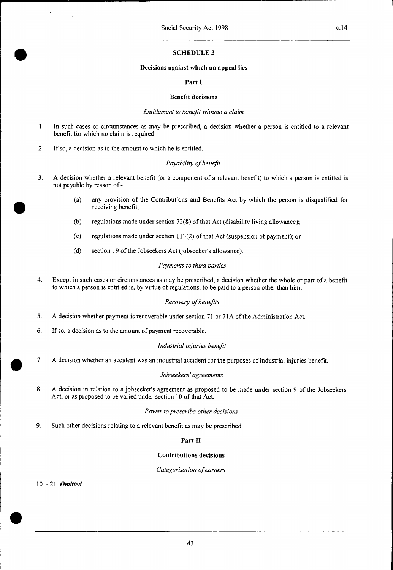#### **SCHEDULE 3**

#### **Decisions against which an appeal lies**

#### **Part I**

#### **Benefit decisions**

#### *Entitlement to benefit without a claim*

- 1 In such cases or circumstances as may be prescribed, a decision whether a person is entitled to a relevant benefit for which no claim is required.
- 2. If so, a decision as to the amount to which he is entitled.

#### *Payability of benefit*

- 3. A decision whether a relevant benefit (or a component of a relevant benefit) to which a person is entitled is not payable by reason of -
	- (a) any provision of the Contributions and Benefits Act by which the person is disqualified for receiving benefit;
	- (b) regulations made under section 72(8) of that Act (disability living allowance);
	- (c) regulations made under section 113(2) of that Act (suspension of payment); or
	- (d) section 19 of the Jobseekers Act (jobseeker's allowance).

#### *Payments to third parties*

4. Except in such cases or circumstances as may be prescribed, a decision whether the whole or part of a benefit to which a person is entitled is, by virtue of regulations, to be paid to a person other than him.

#### *Recovery of benefits*

- 5. A decision whether payment is recoverable under section 71 or 71A of the Administration Act.
- 6. If so, a decision as to the amount of payment recoverable.

#### *Industrial injuries benefit*

7. A decision whether an accident was an industrial accident for the purposes of industrial injuries benefit.

#### *Jobseekers' agreements*

8. A decision in relation to a jobseeker's agreement as proposed to be made under section 9 of the Jobseekers Act, or as proposed to be varied under section 10 of that Act.

#### *Power to prescribe other decisions*

9. Such other decisions relating to a relevant benefit as may be prescribed.

#### **Part II**

#### **Contributions decisions**

#### *Categorisation of earners*

10. - 21. *Omitted.* 

•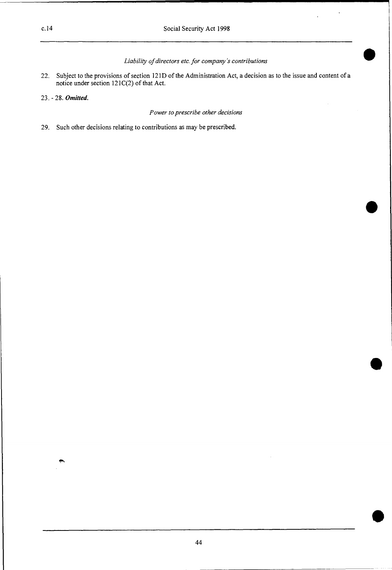#### *Liability of directors etc. for company's contributions*

- 22. Subject to the provisions of section 121D of the Administration Act, a decision as to the issue and content of a notice under section 121C(2) of that Act.
- 23. 28. *Omitted.*

#### *Power to prescribe other decisions*

29. Such other decisions relating to contributions as may be prescribed.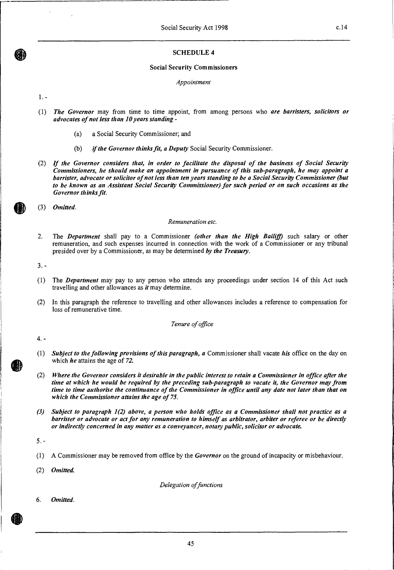#### **SCHEDULE 4**

#### **Social Security Commissioners**

*Appointment* 

 $1. -$ 

- *(1) The Governor* may from time to time appoint, from among persons who *are barristers, solicitors or advocates of not less than 10 years standing -* 
	- (a) a Social Security Commissioner; and
	- *(b) if the Governor thinks fit, a Deputy* Social Security Commissioner.
- (2) *If the Governor considers that, in order to facilitate the disposal of the business of Social Security Commissioners, he should make an appointment in pursuance of this sub-paragraph, he may appoint a barrister, advocate or solicitor of not less than ten years standing to be a Social Security Commissioner (but to be known as an Assistant Social Security Commissioner) for such period or on such occasions as the Governor thinks fit.*

(3) *Omitted.* 

#### *Remuneration etc.*

2. The *Department* shall pay to a Commissioner *(other than the High Bailiff)* such salary or other remuneration, and such expenses incurred in connection with the work of a Commissioner or any tribunal presided over by a Commissioner, as may be determined *by the Treasury.* 

 $3. -$ 

- (1) The *Department* may pay to any person who attends any proceedings under section 14 of this Act such travelling and other allowances as *it* may determine.
- (2) In this paragraph the reference to travelling and other allowances includes a reference to compensation for loss of remunerative time.

*Tenure of office* 

4. -

- *(1) Subject to the following provisions of this paragraph, a* Commissioner shall vacate *his* office on the day on which *he* attains the age of *72.*
- *(2) Where the Governor considers it desirable in the public interest to retain a Commissioner in office after the time at which he would be required by the preceding sub-paragraph to vacate it, the Governor may from time to time authorise the continuance of the Commissioner in office until any date not later than that on which the Commissioner attains the age of 75.*
- *(3) Subject to paragraph 1(2) above, a person who holds office as a Commissioner shall not practice as a barrister or advocate or act for any remuneration to himself as arbitrator, arbiter or referee or be directly or indirectly concerned in any matter as a conveyancer, notary public, solicitor or advocate.*

*5. -* 

(1) A Commissioner may be removed from office by the *Governor* on the ground of incapacity or misbehaviour.

*(2) Omitted.* 

*Delegation of functions* 

6. *Omitted.*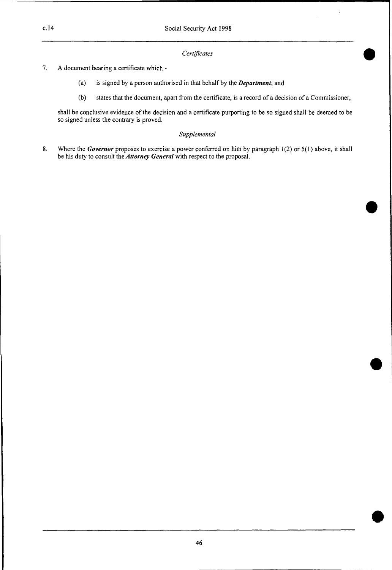#### *Certificates*

- 7. A document bearing a certificate which
	- (a) is signed by a person authorised in that behalf by the *Department;* and
	- (b) states that the document, apart from the certificate, is a record of a decision of a Commissioner,

shall be conclusive evidence of the decision and a certificate purporting to be so signed shall be deemed to be so signed unless the contrary is proved.

#### *Supplemental*

8. Where the *Governor* proposes to exercise a power conferred on him by paragraph 1(2) or 5(1) above, it shall be his duty to consult the *Attorney General* with respect to the proposal.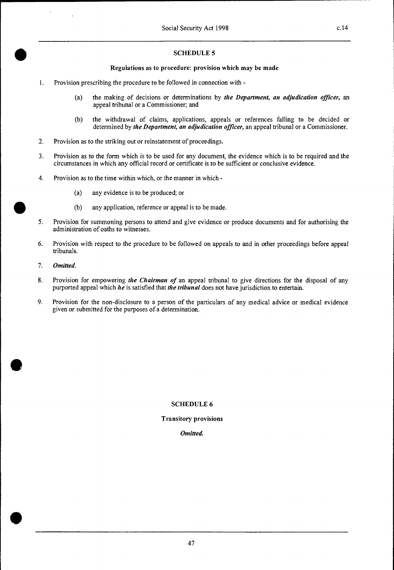#### **SCHEDULE 5**

#### **Regulations as to procedure: provision which may be made**

- 1. Provision prescribing the procedure to be followed in connection with
	- (a) the making of decisions or determinations by *the Department, an adjudication officer,* an appeal tribunal or a Commissioner; and
	- (b) the withdrawal of claims, applications, appeals or references falling to be decided or determined by *the Department, an adjudication officer,* an appeal tribunal or a Commissioner.
- 2. Provision as to the striking out or reinstatement of proceedings.
- 3. Provision as to the form which is to be used for any document, the evidence which is to be required and the circumstances in which any official record or certificate is to be sufficient or conclusive evidence.
- 4. Provision as to the time within which, or the manner in which
	- (a) any evidence is to be produced; or
	- (b) any application, reference or appeal is to be made.
- 5. Provision for summoning persons to attend and give evidence or produce documents and for authorising the administration of oaths to witnesses.
- 6. Provision with respect to the procedure to be followed on appeals to and in other proceedings before appeal tribunals.
- 7. *Omitted.*
- 8. Provision for empowering *the Chairman of* an appeal tribunal to give directions for the disposal of any purported appeal which *he* is satisfied that *the tribunal* does not have jurisdiction to entertain.
- 9. Provision for the non-disclosure to a person of the particulars of any medical advice or medical evidence given or submitted for the purposes of a determination.

#### **SCHEDULE 6**

**Transitory provisions** 

Omitted.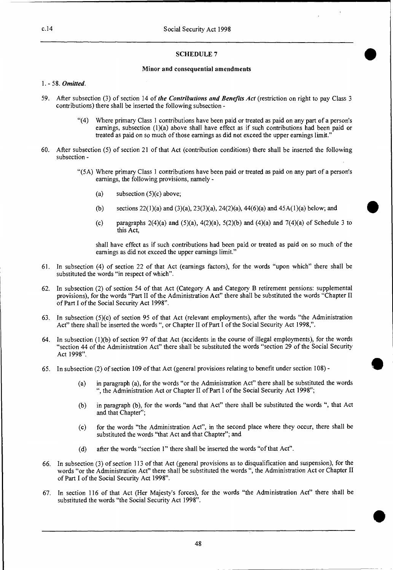#### **SCHEDULE 7**

#### **Minor and consequential amendments**

#### 1. - 58. *Omitted.*

- 59. After subsection (3) of section 14 of *the Contributions and Benefits Act* (restriction on right to pay Class 3 contributions) there shall be inserted the following subsection -
	- "(4) Where primary Class 1 contributions have been paid or treated as paid on any part of a person's earnings, subsection  $(1)(a)$  above shall have effect as if such contributions had been paid or treated as paid on so much of those earnings as did not exceed the upper earnings limit."
- 60. After subsection (5) of section 21 of that Act (contribution conditions) there shall be inserted the following subsection -
	- "(5A) Where primary Class 1 contributions have been paid or treated as paid on any part of a person's earnings, the following provisions, namely -
		- (a) subsection  $(5)(c)$  above;
		- (b) sections 22(1)(a) and (3)(a), 23(3)(a), 24(2)(a), 44(6)(a) and 45A(1)(a) below; and
		- (c) paragraphs  $2(4)(a)$  and  $(5)(a)$ ,  $4(2)(a)$ ,  $5(2)(b)$  and  $(4)(a)$  and  $7(4)(a)$  of Schedule 3 to this Act,

shall have effect as if such contributions had been paid or treated as paid on so much of the earnings as did not exceed the upper earnings limit."

- 61. In subsection (4) of section 22 of that Act (earnings factors), for the words "upon which" there shall be substituted the words "in respect of which".
- 62. In subsection (2) of section 54 of that Act (Category A and Category B retirement pensions: supplemental provisions), for the words "Part II of the Administration Act" there shall be substituted the words "Chapter II of Part **I** of the Social Security Act 1998".
- 63. In subsection (5)(c) of section 95 of that Act (relevant employments), after the words "the Administration Act" there shall be inserted the words ", or Chapter II of Part I of the Social Security Act 1998,".
- 64. In subsection (1)(b) of section 97 of that Act (accidents in the course of illegal employments), for the words "section 44 of the Administration Act" there shall be substituted the words "section 29 of the Social Security Act 1998".
- 65. In subsection (2) of section 109 of that Act (general provisions relating to benefit under section 108)
	- (a) in paragraph (a), for the words "or the Administration Act" there shall be substituted the words ", the Administration Act or Chapter II of Part **I** of the Social Security Act 1998";
	- (b) in paragraph (b), for the words "and that Act" there shall be substituted the words ", that Act and that Chapter";
	- (c) for the words "the Administration Act", in the second place where they occur, there shall be substituted the words "that Act and that Chapter"; and
	- (d) after the words "section 1" there shall be inserted the words "of that Act".
- 66. In subsection (3) of section 113 of that Act (general provisions as to disqualification and suspension), for the words "or the Administration Act" there shall be substituted the words ", the Administration Act or Chapter **II**  of Part I of the Social Security Act 1998".
- 67. In section 116 of that Act (Her Majesty's forces), for the words "the Administration Act" there shall be substituted the words "the Social Security Act 1998".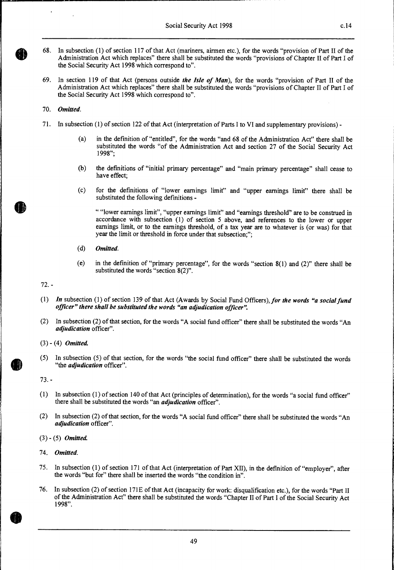- 68. In subsection (1) of section 117 of that Act (mariners, airmen etc.), for the words "provision of Part II of the Administration Act which replaces" there shall be substituted the words "provisions of Chapter II of Part I of the Social Security Act 1998 which correspond to".
- 69. In section 119 of that Act (persons outside *the Isle of Man),* for the words "provision of Part II of the Administration Act which replaces" there shall be substituted the words "provisions of Chapter II of Part I of the Social Security Act 1998 which correspond to".

#### 70. *Omitted.*

- 71. In subsection (1) of section 122 of that Act (interpretation of Parts I to VI and supplementary provisions) -
	- (a) in the definition of "entitled", for the words "and 68 of the Administration Act" there shall be substituted the words "of the Administration Act and section 27 of the Social Security Act 1998";
	- (b) the definitions of "initial primary percentage" and "main primary percentage" shall cease to have effect;
	- (c) for the definitions of "lower earnings limit" and "upper earnings limit" there shall be substituted the following definitions -

" "lower earnings limit", "upper earnings limit" and "earnings threshold" are to be construed in accordance with subsection (1) of section 5 above, and references to the lower or upper earnings limit, or to the earnings threshold, of a tax year are to whatever is (or was) for that year the limit or threshold in force under that subsection;";

- *(d) Omitted.*
- (e) in the definition of "primary percentage", for the words "section 8(1) and (2)" there shall be substituted the words "section 8(2)".

72. -

- *(1) In* subsection (1) of section 139 of that Act (Awards by Social Fund Officers), *for the words "a social fund officer" there shall be substituted the words "an adjudication officer".*
- (2) In subsection (2) of that section, for the words "A social fund officer" there shall be substituted the words "An *adjudication* officer".
- (3) (4) *Omitted.*
- (5) In subsection (5) of that section, for the words "the social fund officer" there shall be substituted the words "the *adjudication* officer".

73. -

- (1) In subsection (1) of section 140 of that Act (principles of determination), for the words "a social fund officer" there shall be substituted the words "an *adjudication* officer".
- (2) In subsection (2) of that section, for the words "A social fund officer" there shall be substituted the words "An *adjudication* officer".

(3) - (5) *Omitted.* 

74. *Omitted.* 

- 75. In subsection (1) of section 171 of that Act (interpretation of Part XII), in the definition of "employer", after the words "but for" there shall be inserted the words "the condition in".
- 76. In subsection (2) of section 171E of that Act (incapacity for work: disqualification etc.), for the words "Part II of the Administration Act" there shall be substituted the words "Chapter II of Part I of the Social Security Act 1998".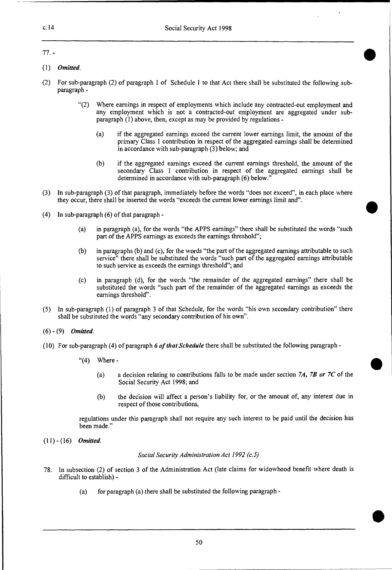#### 77. -

- (1) *Omitted.*
- (2) For sub-paragraph (2) of paragraph 1 of Schedule 1 to that Act there shall be substituted the following subparagraph -
	- "(2) Where earnings in respect of employments which include any contracted-out employment and any employment which is not a contracted-out employment are aggregated under subparagraph (1) above, then, except as may be provided by regulations -
		- (a) if the aggregated earnings exceed the current lower earnings limit, the amount of the primary Class 1 contribution in respect of the aggregated earnings shall be determined in accordance with sub-paragraph (3) below; and
		- (b) if the aggregated earnings exceed the current earnings threshold, the amount of the secondary Class 1 contribution in respect of the aggregated earnings shall be determined in accordance with sub-paragraph (6) below."
- (3) In sub-paragraph (3) of that paragraph, immediately before the words "does not exceed", in each place where they occur, there shall be inserted the words "exceeds the current lower earnings limit and".
- (4) In sub-paragraph (6) of that paragraph
	- (a) in paragraph (a), for the words "the APPS earnings" there shall be substituted the words "such part of the APPS earnings as exceeds the earnings threshold";
	- (b) in paragraphs (b) and (c), for the words "the part of the aggregated earnings attributable to such service" there shall be substituted the words "such part of the aggregated earnings attributable to such service as exceeds the earnings threshold"; and
	- (c) in paragraph (d), for the words "the remainder of the aggregated earnings" there shall be substituted the words "such part of the remainder of the aggregated earnings as exceeds the earnings threshold".
- (5 ) In sub-paragraph (1) of paragraph 3 of that Schedule, for the words "his own secondary contribution" there shall be substituted the words "any secondary contribution of his own".
- (6) (9) *Omitted.*
- *(10)* For sub-paragraph (4) of paragraph *6 of that Schedule* there shall be substituted the following paragraph
	- $"(4)$  Where -
		- (a) a decision relating to contributions falls to be made under section *7A, 7B or 7C* of the Social Security Act 1998; and
		- (b) the decision will affect a person's liability for, or the amount of, any interest due in respect of those contributions,

regulations under this paragraph shall not require any such interest to be paid until the decision has been made."

(11) - (16) *Omitted.* 

*Social Security Administration Act 1992 (c.5)* 

- 78. In subsection (2) of section 3 of the Administration Act (late claims for widowhood benefit where death is difficult to establish) -
	- (a) for paragraph (a) there shall be substituted the following paragraph -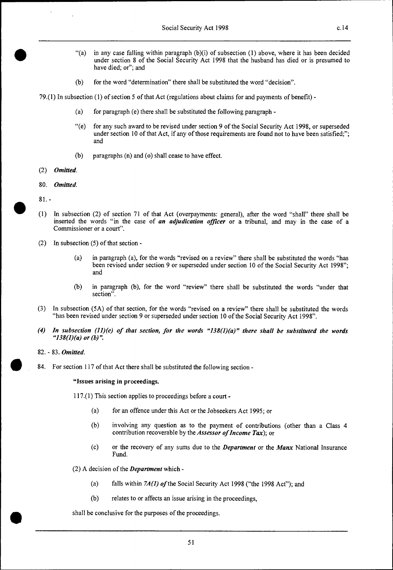- "(a) in any case falling within paragraph (b)(i) of subsection (1) above, where it has been decided under section 8 of the Social Security Act 1998 that the husband has died or is presumed to have died; or"; and
- (b) for the word "determination" there shall be substituted the word "decision".

79.(1) In subsection (1) of section 5 of that Act (regulations about claims for and payments of benefit) -

- (a) for paragraph (e) there shall be substituted the following paragraph -
- "(e) for any such award to be revised under section 9 of the Social Security Act 1998, or superseded under section 10 of that Act, if any of those requirements are found not to have been satisfied;"; and
- (b) paragraphs (n) and (o) shall cease to have effect.
- (2) *Omitted.*
- 80. *Omitted.*
- 81. **-**

•

- *( <sup>1</sup> )* In subsection (2) of section 71 of that Act (overpayments: general), after the word "shall" there shall be inserted the words "in the case of *an adjudication officer* or a tribunal, and may in the case of a Commissioner or a court".
- (2) In subsection (5) of that section
	- (a) in paragraph (a), for the words "revised on a review" there shall be substituted the words "has been revised under section 9 or superseded under section 10 of the Social Security Act 1998"; and
	- (b) in paragraph (b), for the word "review" there shall be substituted the words "under that section".
- (3) In subsection (5A) of that section, for the words "revised on a review" there shall be substituted the words "has been revised under section 9 or superseded under section 10 of the Social Security Act 1998".
- $(4)$  In subsection  $(11)(e)$  of that section, for the words "138 $(1)(a)$ " there shall be substituted the words *"138(1)(a) or (b)".*
- 82. 83. *Omitted.*

 $\bullet$ 

84. For section 117 of that Act there shall be substituted the following section **-** 

**"Issues arising in proceedings.** 

117.(1) This section applies to proceedings before a court -

- (a) for an offence under this Act or the Jobseekers Act 1995; or
- (b) involving any question as to the payment of contributions (other than a Class 4 contribution recoverable by the *Assessor of Income Tax);* or
- (c) or the recovery of any sums due to the *Department* or the *Manx* National Insurance **Fund.**

(2) A decision of the *Department* which -

(a) falls within *7A(1) of* the Social Security Act 1998 ("the 1998 Act"); and

51

(b) relates to or affects an issue arising in the proceedings,

shall be conclusive for the purposes of the proceedings.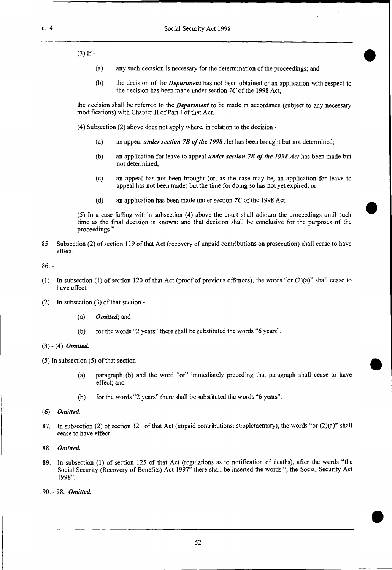$(3)$  If -

- (a) any such decision is necessary for the determination of the proceedings; and
- (b) the decision of the *Department* has not been obtained or an application with respect to the decision has been made under section *7C* of the 1998 Act,

the decision shall be referred to the *Department* to be made in accordance (subject to any necessary modifications) with Chapter II of Part I of that Act.

(4) Subsection (2) above does not apply where, in relation to the decision -

- (a) an appeal *under section 7B of the 1998 Act* has been brought but not determined;
- (b) an application for leave to appeal *under section 7B of the 1998 Act* has been made but not determined;
- (c) an appeal has not been brought (or, as the case may be, an application for leave to appeal has not been made) but the time for doing so has not yet expired; or
- (d) an application has been made under section *7C* of the 1998 Act.

(5) In a case falling within subsection (4) above the court shall adjourn the proceedings until such time as the final decision is known; and that decision shall be conclusive for the purposes of the proceedings."

85. Subsection (2) of section 119 of that Act (recovery of unpaid contributions on prosecution) shall cease to have effect.

86. -

- (1) In subsection (1) of section 120 of that Act (proof of previous offences), the words "or (2)(a)" shall cease to have effect.
- (2) In subsection (3) of that section
	- *(a) Omitted;* and
	- (b) for the words "2 years" there shall be substituted the words "6 years".

#### (3) - (4) *Omitted.*

(5) In subsection (5) of that section -

- (a) paragraph (b) and the word "or" immediately preceding that paragraph shall cease to have effect; and
- (b) for the words "2 years" there shall be substituted the words "6 years".
- (6) *Omitted.*
- 87. In subsection (2) of section 121 of that Act (unpaid contributions: supplementary), the words "or (2)(a)" shall cease to have effect.
- 88. *Omitted.*
- 89. In subsection (1) of section 125 of that Act (regulations as to notification of deaths), after the words "the Social Security (Recovery of Benefits) Act 1997" there shall be inserted the words ", the Social Security Act 1998".
- 90. 98. *Omitted.*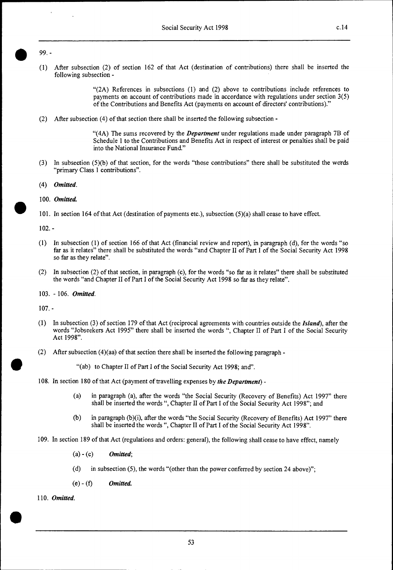# $\frac{1}{99.1}$

(1) After subsection (2) of section 162 of that Act (destination of contributions) there shall be inserted the following subsection -

> " $(2A)$  References in subsections  $(1)$  and  $(2)$  above to contributions include references to payments on account of contributions made in accordance with regulations under section 3(5) of the Contributions and Benefits Act (payments on account of directors' contributions)."

(2) After subsection (4) of that section there shall be inserted the following subsection -

"(4A) The sums recovered by the *Department* under regulations made under paragraph 7B of Schedule 1 to the Contributions and Benefits Act in respect of interest or penalties shall be paid into the National Insurance Fund."

- (3) In subsection (5)(b) of that section, for the words "those contributions" there shall be substituted the words "primary Class 1 contributions".
- *(4) Omitted.*

#### 100. *Omitted*

• 101. In section 164 of that Act (destination of payments etc.), subsection (5)(a) shall cease to have effect.

102. -

- (1) In subsection (1) of section 166 of that Act (financial review and report), in paragraph (d), for the words "so far as it relates" there shall be substituted the words "and Chapter II of Part I of the Social Security Act 1998 so far as they relate".
- (2) In subsection (2) of that section, in paragraph (c), for the words "so far as it relates" there shall be substituted the words "and Chapter II of Part I of the Social Security Act 1998 so far as they relate".
- 103. 106. *Omitted.*

107. -

•

•

- (1) In subsection (3) of section 179 of that Act (reciprocal agreements with countries outside the *Island),* after the words "Jobseekers Act 1995" there shall be inserted the words ", Chapter II of Part I of the Social Security Act 1998".
- (2) After subsection (4)(aa) of that section there shall be inserted the following paragraph -

"(ab) to Chapter II of Part I of the Social Security Act 1998; and".

- 108. In section 180 of that Act (payment of travelling expenses by *the Department)* 
	- (a) in paragraph (a), after the words "the Social Security (Recovery of Benefits) Act 1997" there shall be inserted the words ", Chapter II of Part I of the Social Security Act 1998"; and
	- (b) in paragraph (b)(i), after the words "the Social Security (Recovery of Benefits) Act 1997" there shall be inserted the words ", Chapter II of Part I of the Social Security Act 1998".
- 109. In section 189 of that Act (regulations and orders: general), the following shall cease to have effect, namely
	- (a) (c) *Omitted;*
	- (d) in subsection (5), the words "(other than the power conferred by section 24 above)";
	- (e) (f) *Omitted.*

110. *Omitted.*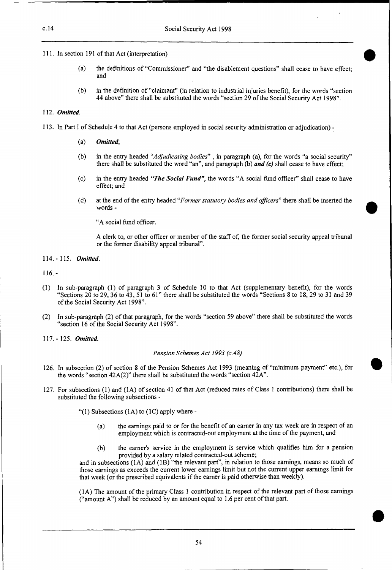111. In section 191 of that Act (interpretation)

(a) the definitions of "Commissioner" and "the disablement questions" shall cease to have effect; and

•

•

**•** 

(b) in the definition of "claimant" (in relation to industrial injuries benefit), for the words "section 44 above" there shall be substituted the words "section 29 of the Social Security Act 1998".

#### 112. *Omitted.*

- 113. In Part I of Schedule 4 to that Act (persons employed in social security administration or adjudication)
	- *(a) Omitted;*
	- (b) in the entry headed *"Adjudicating bodies" ,* in paragraph (a), for the words "a social security" there shall be substituted the word "an", and paragraph (b) *and (c)* shall cease to have effect;
	- (c) in the entry headed *"The Social Fund",* the words "A social fund officer" shall cease to have effect; and
	- (d) at the end of the entry headed *"Former statutory bodies and officers"* there shall be inserted the words -

"A social fund officer.

A clerk to, or other officer or member of the staff of, the former social security appeal tribunal or the former disability appeal tribunal".

114. - 115. *Omitted.* 

116. -

- (1) In sub-paragraph (1) of paragraph 3 of Schedule 10 to that Act (supplementary benefit), for the words "Sections 20 to 29, 36 to 43, 51 to 61" there shall be substituted the words "Sections 8 to 18, 29 to 31 and 39 of the Social Security Act 1998".
- (2) In sub-paragraph (2) of that paragraph, for the words "section 59 above" there shall be substituted the words "section 16 of the Social Security Act 1998".
- 117. 125. *Omitted.*

#### *Pension Schemes Act 1993 (c.48)*

- 126. In subsection (2) of section 8 of the Pension Schemes Act 1993 (meaning of "minimum payment" etc.), for the words "section  $42A(2)$ " there shall be substituted the words "section  $42A$ ".
- 127. For subsections (1) and (1A) of section 41 of that Act (reduced rates of Class 1 contributions) there shall be substituted the following subsections -

"(1) Subsections  $(1A)$  to  $(1C)$  apply where -

- (a) the earnings paid to or for the benefit of an earner in any tax week are in respect of an employment which is contracted-out employment at the time of the payment, and
- (b) the earner's service in the employment is service which qualifies him for a pension provided by a salary related contracted-out scheme;

and in subsections (1A) and (1B) "the relevant part", in relation to those earnings, means so much of those earnings as exceeds the current lower earnings limit but not the current upper earnings limit for that week (or the prescribed equivalents if the earner is paid otherwise than weekly).

(1A) The amount of the primary Class 1 contribution in respect of the relevant part of those earnings ("amount A") shall be reduced by an amount equal to 1.6 per cent of that part.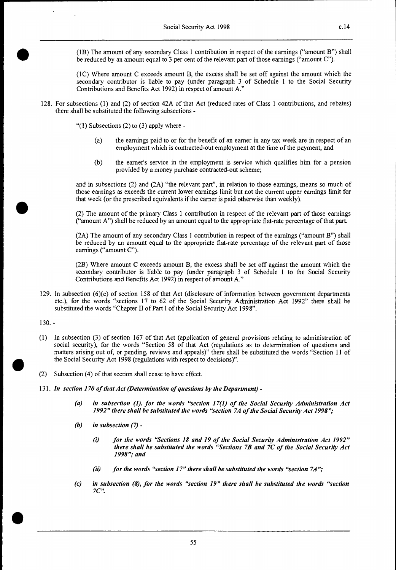**411** (IB) The amount of any secondary Class 1 contribution in respect of the earnings ("amount B") shall be reduced by an amount equal to 3 per cent of the relevant part of those earnings ("amount C").

(1C) Where amount C exceeds amount B, the excess shall be set off against the amount which the secondary contributor is liable to pay (under paragraph 3 of Schedule 1 to the Social Security Contributions and Benefits Act 1992) in respect of amount A."

128. For subsections (1) and (2) of section 42A of that Act (reduced rates of Class 1 contributions, and rebates) there shall be substituted the following subsections -

" $(1)$  Subsections  $(2)$  to  $(3)$  apply where -

- (a) the earnings paid to or for the benefit of an earner in any tax week are in respect of an employment which is contracted-out employment at the time of the payment, and
- (b) the earner's service in the employment is service which qualifies him for a pension provided by a money purchase contracted-out scheme;

and in subsections (2) and (2A) "the relevant part", in relation to those earnings, means so much of those earnings as exceeds the current lower earnings limit but not the current upper earnings limit for that week (or the prescribed equivalents if the earner is paid otherwise than weekly).

**411** (2) The amount of the primary Class 1 contribution in respect of the relevant part of those earnings ("amount A") shall be reduced by an amount equal to the appropriate flat-rate percentage of that part.

(2A) The amount of any secondary Class 1 contribution in respect of the earnings ("amount B") shall be reduced by an amount equal to the appropriate flat-rate percentage of the relevant part of those earnings ("amount C").

(2B) Where amount C exceeds amount B, the excess shall be set off against the amount which the secondary contributor is liable to pay (under paragraph 3 of Schedule 1 to the Social Security Contributions and Benefits Act 1992) in respect of amount A."

129. In subsection (6)(c) of section 158 of that Act (disclosure of information between government departments etc.), for the words "sections 17 to 62 of the Social Security Administration Act 1992" there shall be substituted the words "Chapter II of Part I of the Social Security Act 1998".

130. -

- (1) In subsection (3) of section 167 of that Act (application of general provisions relating to administration of social security), for the words "Section 58 of that Act (regulations as to determination of questions and matters arising out of, or pending, reviews and appeals)" there shall be substituted the words "Section 11 of the Social Security Act 1998 (regulations with respect to decisions)".
- (2) Subsection (4) of that section shall cease to have effect.
- 131. *In section 170 of that Act (Determination of questions by the Department)* 
	- *(a) in subsection (1), for the words "section 17(1) of the Social Security Administration Act 1992" there shall be substituted the words "section 7A of the Social Security Act 1998";*
	- *(b) in subsection (7)* 
		- *(i) for the words "Sections 18 and 19 of the Social Security Administration Act 1992" there shall be substituted the words "Sections 7B and 7C of the Social Security Act 1998"; and*
		- *(ii) for the words "section 17" there shall be substituted the words "section 7A";*
	- *(c) in subsection (8), for the words "section 19" there shall be substituted the words "section 7C".*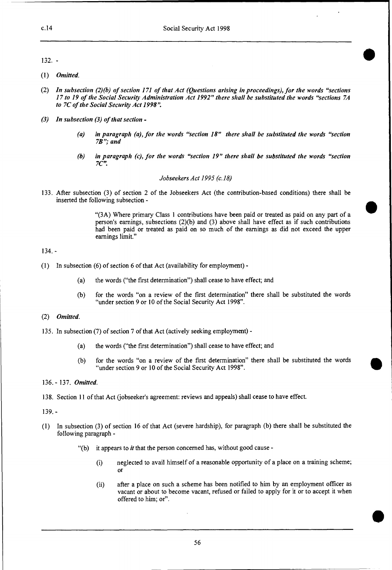$132.$  -

- *Omitted.*
- *In subsection (2)(b) of section 171 of that Act (Questions arising in proceedings), for the words "sections 17 to 19 of the Social Security Administration Act 1992" there shall be substituted the words "sections 7A to 7C of the Social Security Act 1998".*
- *In subsection (3) of that section* 
	- *(a) in paragraph (a), for the words "section 18" there shall be substituted the words "section 7B"; and*
	- *(b) in paragraph (c), for the words "section 19" there shall be substituted the words "section 7C".*

#### *Jobseekers Act 1995 (c.18)*

133. After subsection (3) of section 2 of the Jobseekers Act (the contribution-based conditions) there shall be inserted the following subsection -

> "(3A) Where primary Class 1 contributions have been paid or treated as paid on any part of a person's earnings, subsections (2)(b) and (3) above shall have effect as if such contributions had been paid or treated as paid on so much of the earnings as did not exceed the upper earnings limit."

•

**•** 

#### 134. -

- (1) In subsection (6) of section 6 of that Act (availability for employment)
	- (a) the words ("the first determination") shall cease to have effect; and
	- (b) for the words "on a review of the first determination" there shall be substituted the words "under section 9 or 10 of the Social Security Act 1998".

#### (2) *Omitted.*

- 135. In subsection (7) of section 7 of that Act (actively seeking employment)
	- (a) the words ("the first determination") shall cease to have effect; and
	- (b) for the words "on a review of the first determination" there shall be substituted the words "under section 9 or 10 of the Social Security Act 1998".

#### 136. - 137. *Omitted.*

138. Section 11 of that Act (jobseeker's agreement: reviews and appeals) shall cease to have effect.

139.-

- (1) In subsection (3) of section 16 of that Act (severe hardship), for paragraph (b) there shall be substituted the following paragraph -
	- "(b) it appears to *it* that the person concerned has, without good cause
		- (i) neglected to avail himself of a reasonable opportunity of a place on a training scheme; or
		- (ii) after a place on such a scheme has been notified to him by an employment officer as vacant or about to become vacant, refused or failed to apply for it or to accept it when offered to him; or".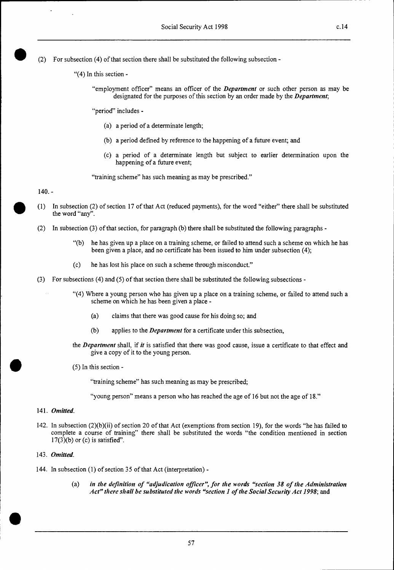(2) For subsection (4) of that section there shall be substituted the following subsection -

- "(4) In this section
	- "employment officer" means an officer of the *Department* or such other person as may be designated for the purposes of this section by an order made by the *Department;*

"period" includes -

- (a) a period of a determinate length;
- (b) a period defined by reference to the happening of a future event; and
- (c) a period of a determinate length but subject to earlier determination upon the happening of a future event;

"training scheme" has such meaning as may be prescribed."

#### 140. -

- (1) In subsection (2) of section 17 of that Act (reduced payments), for the word "either" there shall be substituted the word "any".
- (2) In subsection (3) of that section, for paragraph (b) there shall be substituted the following paragraphs
	- "(b) he has given up a place on a training scheme, or failed to attend such a scheme on which he has been given a place, and no certificate has been issued to him under subsection (4);
	- (c) he has lost his place on such a scheme through misconduct."
- (3) For subsections (4) and (5) of that section there shall be substituted the following subsections
	- "(4) Where a young person who has given up a place on a training scheme, or failed to attend such a scheme on which he has been given a place -
		- (a) claims that there was good cause for his doing so; and
		- (b) applies to the *Department* for a certificate under this subsection,
	- the *Department* shall, if *it* is satisfied that there was good cause, issue a certificate to that effect and give a copy of it to the young person.
	- (5) In this section -

"training scheme" has such meaning as may be prescribed;

"young person" means a person who has reached the age of 16 but not the age of 18."

#### 141. *Omitted.*

142. In subsection (2)(b)(ii) of section 20 of that Act (exemptions from section 19), for the words "he has failed to complete a course of training" there shall be substituted the words "the condition mentioned in section  $17(3)(b)$  or (c) is satisfied".

#### 143. *Omitted.*

- 144. In subsection (1) of section 35 of that Act (interpretation)
	- (a) *in the definition of "adjudication officer", for the words "section 38 of the Administration*  Act" there shall be substituted the words "section 1 of the Social Security Act 1998; and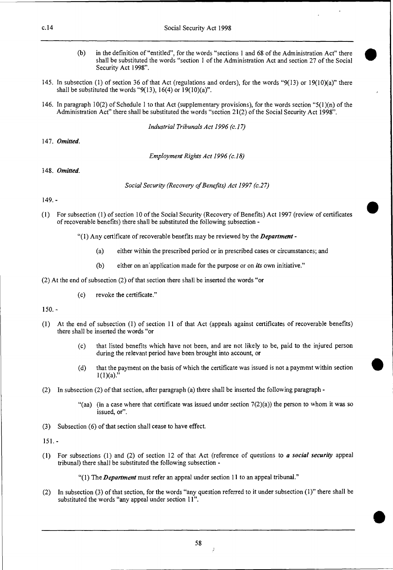- (b) in the definition of "entitled", for the words "sections 1 and 68 of the Administration Act" there shall be substituted the words "section 1 of the Administration Act and section 27 of the Social Security Act 1998".
- 145. In subsection (1) of section 36 of that Act (regulations and orders), for the words "9(13) or 19(10)(a)" there shall be substituted the words " $9(13)$ , 16(4) or 19(10)(a)".
- 146. In paragraph 10(2) of Schedule 1 to that Act (supplementary provisions), for the words section " $5(1)(n)$  of the Administration Act" there shall be substituted the words "section 21(2) of the Social Security Act 1998".

*Industrial Tribunals Act 1996 (c.17)* 

*147. Omitted.* 

*Employment Rights Act 1996 (c.18)* 

*148. Omitted.* 

*Social Security (Recovery of Benefits) Act 1997 (c.27)* 

149. -

- (1) For subsection (1) of section 10 of the Social Security (Recovery of Benefits) Act 1997 (review of certificates of recoverable benefits) there shall be substituted the following subsection -
	- "(1) Any certificate of recoverable benefits may be reviewed by the *Department* 
		- (a) either within the prescribed period or in prescribed cases or circumstances; and
		- (b) either on an'application made for the purpose or on *its* own initiative."
- (2) At the end of subsection (2) of that section there shall be inserted the words "or
	- (c) revoke the certificate."

150. -

- (I) At the end of subsection (1) of section 11 of that Act (appeals against certificates of recoverable benefits) there shall be inserted the words "or
	- (c) that listed benefits which have not been, and are not likely to be, paid to the injured person during the relevant period have been brought into account, or
	- (d) that the payment on the basis of which the certificate was issued is not a payment within section  $1(1)(a)$ ."
- (2) In subsection (2) of that section, after paragraph (a) there shall be inserted the following paragraph
	- "(aa) (in a case where that certificate was issued under section  $7(2)(a)$ ) the person to whom it was so issued, or".
- (3) Subsection (6) of that section shall cease to have effect.

 $151. -$ 

(1) For subsections (1) and (2) of section 12 of that Act (reference of questions to *a social security* appeal tribunal) there shall be substituted the following subsection -

"(1) The *Department* must refer an appeal under section 11 to an appeal tribunal."

(2) In subsection (3) of that section, for the words "any question referred to it under subsection (1)" there shall be substituted the words "any appeal under section 11".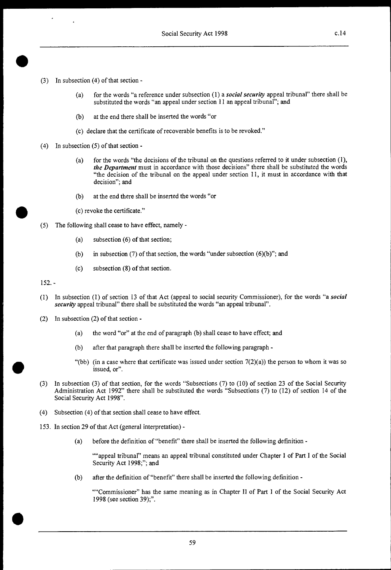- In subsection (4) of that section  $(3)$ 
	- (a) for the words "a reference under subsection (1) a *social security* appeal tribunal" there shall be substituted the words "an appeal under section 11 an appeal tribunal"; and
	- (b) at the end there shall be inserted the words "or
	- (c) declare that the certificate of recoverable benefits is to be revoked."
- (4) In subsection (5) of that section
	- (a) for the words "the decisions of the tribunal on the questions referred to it under subsection (1), *the Department* must in accordance with those decisions" there shall be substituted the words "the decision of the tribunal on the appeal under section 11, it must in accordance with that decision"; and
	- (b) at the end there shall be inserted the words "or
	- (c) revoke the certificate."
- (5) The following shall cease to have effect, namely
	- (a) subsection (6) of that section;
	- (b) in subsection (7) of that section, the words "under subsection  $(6)(b)$ "; and
	- (c) subsection (8) of that section.

152. -

•

•

•

- (1) In subsection (1) of section 13 of that Act (appeal to social security Commissioner), for the words "a *social security* appeal tribunal" there shall be substituted the words "an appeal tribunal".
- (2) In subsection (2) of that section
	- (a) the word "or" at the end of paragraph (b) shall cease to have effect; and
	- (b) after that paragraph there shall be inserted the following paragraph -
	- "(bb) (in a case where that certificate was issued under section  $7(2)(a)$ ) the person to whom it was so issued, or".
- (3) In subsection (3) of that section, for the words "Subsections (7) to (10) of section 23 of the Social Security Administration Act 1992" there shall be substituted the words "Subsections (7) to (12) of section 14 of the Social Security Act 1998".
- (4) Subsection (4) of that section shall cease to have effect.
- 153. In section 29 of that Act (general interpretation)
	- (a) before the definition of "benefit" there shall be inserted the following definition -

""appeal tribunal" means an appeal tribunal constituted under Chapter I of Part I of the Social Security Act 1998;"; and

(b) after the definition of "benefit" there shall be inserted the following definition -

""Commissioner" has the same meaning as in Chapter II of Part I of the Social Security Act 1998 (see section 39);".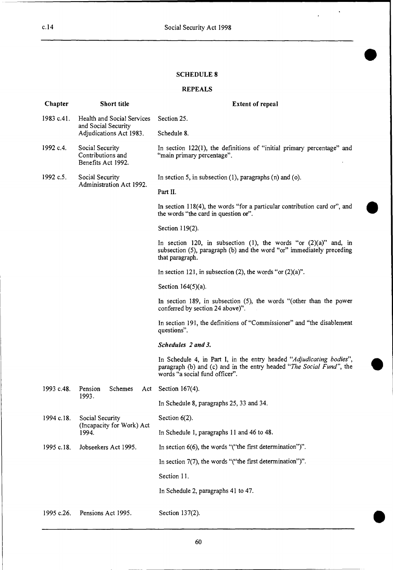$\hat{\mathbf{v}}$ 

#### **SCHEDULE 8**

# **REPEALS**

| Chapter    | <b>Short title</b>                                                           | <b>Extent of repeal</b>                                                                                                                                                        |
|------------|------------------------------------------------------------------------------|--------------------------------------------------------------------------------------------------------------------------------------------------------------------------------|
| 1983 c.41. | Health and Social Services<br>and Social Security<br>Adjudications Act 1983. | Section 25.                                                                                                                                                                    |
|            |                                                                              | Schedule 8.                                                                                                                                                                    |
| 1992 c.4.  | Social Security<br>Contributions and<br>Benefits Act 1992.                   | In section 122(1), the definitions of "initial primary percentage" and<br>"main primary percentage".                                                                           |
| 1992 c.5.  | Social Security<br>Administration Act 1992.                                  | In section 5, in subsection $(1)$ , paragraphs $(n)$ and $(o)$ .                                                                                                               |
|            |                                                                              | Part II.                                                                                                                                                                       |
|            |                                                                              | In section $118(4)$ , the words "for a particular contribution card or", and<br>the words "the card in question or".                                                           |
|            |                                                                              | Section 119(2).                                                                                                                                                                |
|            |                                                                              | In section 120, in subsection (1), the words "or $(2)(a)$ " and, in<br>subsection (5), paragraph (b) and the word "or" immediately preceding<br>that paragraph.                |
|            |                                                                              | In section 121, in subsection (2), the words "or $(2)(a)$ ".                                                                                                                   |
|            |                                                                              | Section $164(5)(a)$ .                                                                                                                                                          |
|            |                                                                              | In section 189, in subsection $(5)$ , the words "(other than the power<br>conferred by section 24 above)".                                                                     |
|            |                                                                              | In section 191, the definitions of "Commissioner" and "the disablement<br>questions".                                                                                          |
|            |                                                                              | Schedules 2 and 3.                                                                                                                                                             |
|            |                                                                              | In Schedule 4, in Part I, in the entry headed "Adjudicating bodies",<br>paragraph (b) and (c) and in the entry headed "The Social Fund", the<br>words "a social fund officer". |
| 1993 c.48. | Pension<br><b>Schemes</b><br>Act<br>1993.                                    | Section $167(4)$ .                                                                                                                                                             |
|            |                                                                              | In Schedule 8, paragraphs 25, 33 and 34.                                                                                                                                       |
| 1994 c.18. | Social Security<br>(Incapacity for Work) Act<br>1994.                        | Section $6(2)$ .                                                                                                                                                               |
|            |                                                                              | In Schedule 1, paragraphs 11 and 46 to 48.                                                                                                                                     |
| 1995 c.18. | Jobseekers Act 1995.                                                         | In section $6(6)$ , the words "("the first determination")".                                                                                                                   |
|            |                                                                              | In section $7(7)$ , the words "("the first determination")".                                                                                                                   |
|            |                                                                              | Section 11.                                                                                                                                                                    |
|            |                                                                              | In Schedule 2, paragraphs 41 to 47.                                                                                                                                            |
| 1995 c.26. | Pensions Act 1995.                                                           | Section 137(2).                                                                                                                                                                |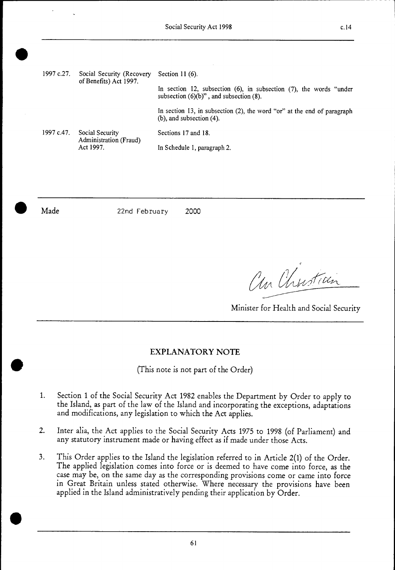1997 c.27. Social Security (Recovery Section 11 (6). of Benefits) Act 1997. In section 12, subsection (6), in subsection (7), the words "under subsection  $(6)(b)$ ", and subsection  $(8)$ . In section 13, in subsection (2), the word "or" at the end of paragraph (b), and subsection (4). 1997 c.47. Social Security Sections 17 and 18. Administration (Fraud)<br>Act 1997. In Schedule 1, paragraph 2.

•

Made 22nd February 2000

an Christian

Minister for Health and Social Security

# EXPLANATORY NOTE

(This note is not part of the Order)

- 1. Section 1 of the Social Security Act 1982 enables the Department by Order to apply to the Island, as part of the law of the Island and incorporating the exceptions, adaptations and modifications, any legislation to which the Act applies.
- 2. Inter alia, the Act applies to the Social Security Acts 1975 to 1998 (of Parliament) and any statutory instrument made or having effect as if made under those Acts.
- 3. This Order applies to the Island the legislation referred to in Article 2(1) of the Order. The applied legislation comes into force or is deemed to have come into force, as the case may be, on the same day as the corresponding provisions come or came into force in Great Britain unless stated otherwise. Where necessary the provisions have been applied in the Island administratively pending their application by Order.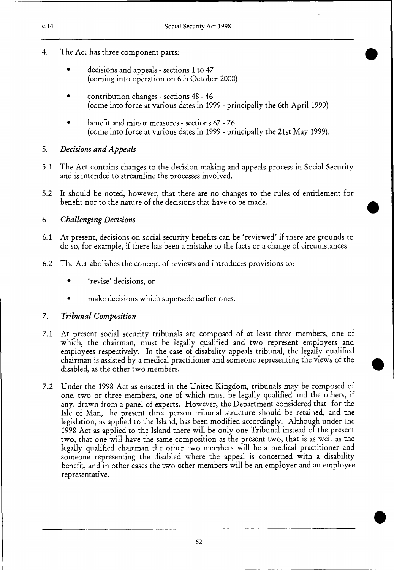- 4. The Act has three component parts:
	- decisions and appeals sections 1 to 47 (coming into operation on 6th October 2000)
	- contribution changes sections 48 46 (come into force at various dates in 1999 - principally the 6th April 1999)
	- benefit and minor measures sections 67 76 (come into force at various dates in 1999 - principally the 21st May 1999).

# *5. Decisions and Appeals*

- 5.1 The Act contains changes to the decision making and appeals process in Social Security and is intended to streamline the processes involved.
- 5.2 It should be noted, however, that there are no changes to the rules of entitlement for benefit nor to the nature of the decisions that have to be made.

# *6. Challenging Decisions*

- 6.1 At present, decisions on social security benefits can be 'reviewed' if there are grounds to do so, for example, if there has been a mistake to the facts or a change of circumstances.
- 6.2 The Act abolishes the concept of reviews and introduces provisions to:
	- 'revise' decisions, or
	- make decisions which supersede earlier ones.

# 7. *Tribunal Composition*

- 7.1 At present social security tribunals are composed of at least three members, one of which, the chairman, must be legally qualified and two represent employers and employees respectively. In the case of disability appeals tribunal, the legally qualified chairman is assisted by a medical practitioner and someone representing the views of the disabled, as the other two members.
- 7.2 Under the 1998 Act as enacted in the United Kingdom, tribunals may be composed of one, two or three members, one of which must be legally qualified and the others, if any, drawn from a panel of experts. However, the Department considered that for the Isle of Man, the present three person tribunal structure should be retained, and the legislation, as applied to the Island, has been modified accordingly. Although under the 1998 Act as applied to the Island there will be only one Tribunal instead of the present two, that one will have the same composition as the present two, that is as well as the legally qualified chairman the other two members will be a medical practitioner and someone representing the disabled where the appeal is concerned with a disability benefit, and in other cases the two other members will be an employer and an employee representative.